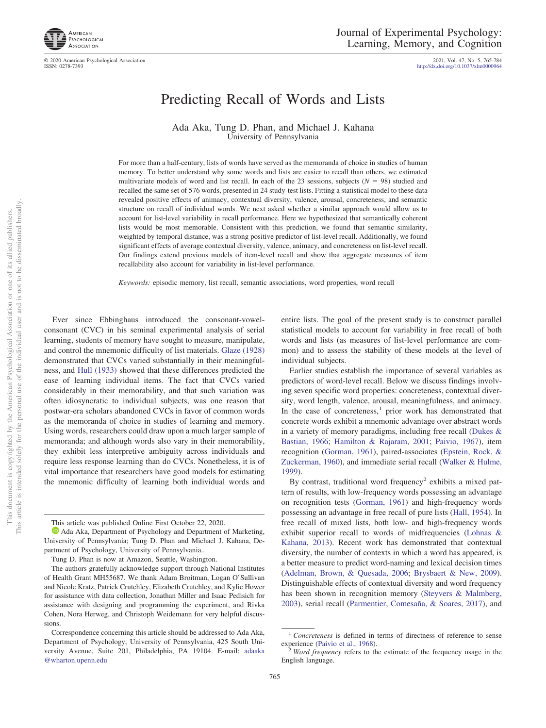

© 2020 American Psychological Association

ISSN: 0278-7393 http://dx.doi.org[/10.1037/xlm0000964](http://dx.doi.org/10.1037/xlm0000964) 2021, Vol. 47, No. 5, 765-784

# Predicting Recall of Words and Lists

Ada Aka, Tung D. Phan, and Michael J. Kahana University of Pennsylvania

For more than a half-century, lists of words have served as the memoranda of choice in studies of human memory. To better understand why some words and lists are easier to recall than others, we estimated multivariate models of word and list recall. In each of the 23 sessions, subjects  $(N = 98)$  studied and recalled the same set of 576 words, presented in 24 study-test lists. Fitting a statistical model to these data revealed positive effects of animacy, contextual diversity, valence, arousal, concreteness, and semantic structure on recall of individual words. We next asked whether a similar approach would allow us to account for list-level variability in recall performance. Here we hypothesized that semantically coherent lists would be most memorable. Consistent with this prediction, we found that semantic similarity, weighted by temporal distance, was a strong positive predictor of list-level recall. Additionally, we found significant effects of average contextual diversity, valence, animacy, and concreteness on list-level recall. Our findings extend previous models of item-level recall and show that aggregate measures of item recallability also account for variability in list-level performance.

*Keywords:* episodic memory, list recall, semantic associations, word properties, word recall

Ever since Ebbinghaus introduced the consonant-vowelconsonant (CVC) in his seminal experimental analysis of serial learning, students of memory have sought to measure, manipulate, and control the mnemonic difficulty of list materials. [Glaze \(1928\)](#page-8-0) demonstrated that CVCs varied substantially in their meaningfulness, and [Hull \(1933\)](#page-8-1) showed that these differences predicted the ease of learning individual items. The fact that CVCs varied considerably in their memorability, and that such variation was often idiosyncratic to individual subjects, was one reason that postwar-era scholars abandoned CVCs in favor of common words as the memoranda of choice in studies of learning and memory. Using words, researchers could draw upon a much larger sample of memoranda; and although words also vary in their memorability, they exhibit less interpretive ambiguity across individuals and require less response learning than do CVCs. Nonetheless, it is of vital importance that researchers have good models for estimating the mnemonic difficulty of learning both individual words and

This article was published Online First October 22, 2020.

entire lists. The goal of the present study is to construct parallel statistical models to account for variability in free recall of both words and lists (as measures of list-level performance are common) and to assess the stability of these models at the level of individual subjects.

Earlier studies establish the importance of several variables as predictors of word-level recall. Below we discuss findings involving seven specific word properties: concreteness, contextual diversity, word length, valence, arousal, meaningfulness, and animacy. In the case of concreteness, $<sup>1</sup>$  prior work has demonstrated that</sup> concrete words exhibit a mnemonic advantage over abstract words in a variety of memory paradigms, including free recall [\(Dukes &](#page-8-2) [Bastian, 1966;](#page-8-2) [Hamilton & Rajaram, 2001;](#page-8-3) [Paivio, 1967\)](#page-8-4), item recognition [\(Gorman, 1961\)](#page-8-5), paired-associates [\(Epstein, Rock, &](#page-8-6) [Zuckerman, 1960\)](#page-8-6), and immediate serial recall [\(Walker & Hulme,](#page-9-0) [1999\)](#page-9-0).

By contrast, traditional word frequency<sup>2</sup> exhibits a mixed pattern of results, with low-frequency words possessing an advantage on recognition tests [\(Gorman, 1961\)](#page-8-5) and high-frequency words possessing an advantage in free recall of pure lists [\(Hall, 1954\)](#page-8-7). In free recall of mixed lists, both low- and high-frequency words exhibit superior recall to words of midfrequencies [\(Lohnas &](#page-8-8) [Kahana, 2013\)](#page-8-8). Recent work has demonstrated that contextual diversity, the number of contexts in which a word has appeared, is a better measure to predict word-naming and lexical decision times [\(Adelman, Brown, & Quesada, 2006;](#page-7-0) [Brysbaert & New, 2009\)](#page-7-1). Distinguishable effects of contextual diversity and word frequency has been shown in recognition memory [\(Steyvers & Malmberg,](#page-9-1) [2003\)](#page-9-1), serial recall [\(Parmentier, Comesaña, & Soares, 2017\)](#page-9-2), and

 $\bullet$  [Ada Aka,](https://orcid.org/0000-0001-6047-9912) Department of Psychology and Department of Marketing, University of Pennsylvania; Tung D. Phan and Michael J. Kahana, Department of Psychology, University of Pennsylvania..

Tung D. Phan is now at Amazon, Seattle, Washington.

The authors gratefully acknowledge support through National Institutes of Health Grant MH55687. We thank Adam Broitman, Logan O'Sullivan and Nicole Kratz, Patrick Crutchley, Elizabeth Crutchley, and Kylie Hower for assistance with data collection, Jonathan Miller and Isaac Pedisich for assistance with designing and programming the experiment, and Rivka Cohen, Nora Herweg, and Christoph Weidemann for very helpful discussions.

Correspondence concerning this article should be addressed to Ada Aka, Department of Psychology, University of Pennsylvania, 425 South University Avenue, Suite 201, Philadelphia, PA 19104. E-mail: [adaaka](mailto:adaaka@wharton.upenn.edu) [@wharton.upenn.edu](mailto:adaaka@wharton.upenn.edu)

<sup>&</sup>lt;sup>1</sup> *Concreteness* is defined in terms of directness of reference to sense experience (Paivio et al., 1968).

Word frequency refers to the estimate of the frequency usage in the English language.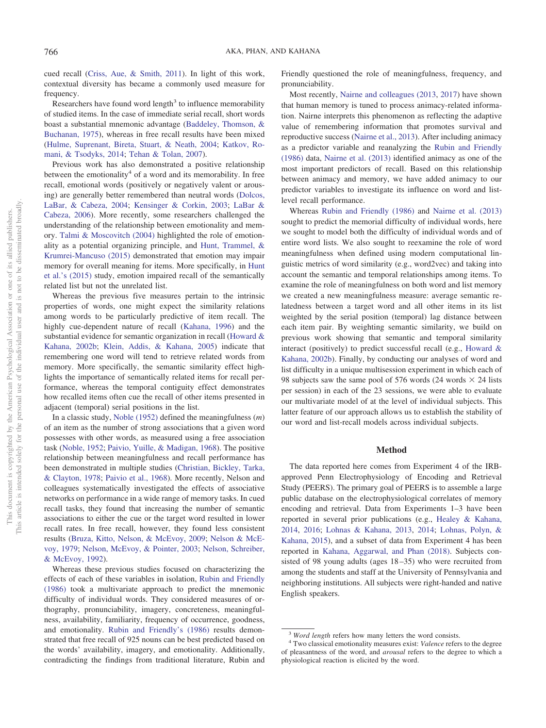cued recall [\(Criss, Aue, & Smith, 2011\)](#page-8-10). In light of this work, contextual diversity has became a commonly used measure for frequency.

Researchers have found word length<sup>3</sup> to influence memorability of studied items. In the case of immediate serial recall, short words boast a substantial mnemonic advantage [\(Baddeley, Thomson, &](#page-7-2) [Buchanan, 1975\)](#page-7-2), whereas in free recall results have been mixed [\(Hulme, Suprenant, Bireta, Stuart, & Neath, 2004;](#page-8-11) [Katkov, Ro](#page-8-12)[mani, & Tsodyks, 2014;](#page-8-12) [Tehan & Tolan, 2007\)](#page-9-3).

Previous work has also demonstrated a positive relationship between the emotionality<sup>4</sup> of a word and its memorability. In free recall, emotional words (positively or negatively valent or arousing) are generally better remembered than neutral words [\(Dolcos,](#page-8-13) [LaBar, & Cabeza, 2004;](#page-8-13) [Kensinger & Corkin, 2003;](#page-8-14) [LaBar &](#page-8-15) [Cabeza, 2006\)](#page-8-15). More recently, some researchers challenged the understanding of the relationship between emotionality and memory. [Talmi & Moscovitch \(2004\)](#page-9-4) highlighted the role of emotionality as a potential organizing principle, and [Hunt, Trammel, &](#page-8-16) [Krumrei-Mancuso \(2015\)](#page-8-16) demonstrated that emotion may impair memory for overall meaning for items. More specifically, in [Hunt](#page-8-16) [et al.'s \(2015\)](#page-8-16) study, emotion impaired recall of the semantically related list but not the unrelated list.

Whereas the previous five measures pertain to the intrinsic properties of words, one might expect the similarity relations among words to be particularly predictive of item recall. The highly cue-dependent nature of recall [\(Kahana, 1996\)](#page-8-17) and the substantial evidence for semantic organization in recall [\(Howard &](#page-8-18) [Kahana, 2002b;](#page-8-18) [Klein, Addis, & Kahana, 2005\)](#page-8-19) indicate that remembering one word will tend to retrieve related words from memory. More specifically, the semantic similarity effect highlights the importance of semantically related items for recall performance, whereas the temporal contiguity effect demonstrates how recalled items often cue the recall of other items presented in adjacent (temporal) serial positions in the list.

In a classic study, [Noble \(1952\)](#page-8-20) defined the meaningfulness (*m*) of an item as the number of strong associations that a given word possesses with other words, as measured using a free association task [\(Noble, 1952;](#page-8-20) [Paivio, Yuille, & Madigan, 1968\)](#page-8-9). The positive relationship between meaningfulness and recall performance has been demonstrated in multiple studies [\(Christian, Bickley, Tarka,](#page-8-21) [& Clayton, 1978;](#page-8-21) [Paivio et al., 1968\)](#page-8-9). More recently, Nelson and colleagues systematically investigated the effects of associative networks on performance in a wide range of memory tasks. In cued recall tasks, they found that increasing the number of semantic associations to either the cue or the target word resulted in lower recall rates. In free recall, however, they found less consistent results [\(Bruza, Kitto, Nelson, & McEvoy, 2009;](#page-7-3) [Nelson & McE](#page-8-22)[voy, 1979;](#page-8-22) [Nelson, McEvoy, & Pointer, 2003;](#page-8-23) [Nelson, Schreiber,](#page-8-24) [& McEvoy, 1992\)](#page-8-24).

Whereas these previous studies focused on characterizing the effects of each of these variables in isolation, [Rubin and Friendly](#page-9-5) [\(1986\)](#page-9-5) took a multivariate approach to predict the mnemonic difficulty of individual words. They considered measures of orthography, pronunciability, imagery, concreteness, meaningfulness, availability, familiarity, frequency of occurrence, goodness, and emotionality. [Rubin and Friendly's \(1986\)](#page-9-5) results demonstrated that free recall of 925 nouns can be best predicted based on the words' availability, imagery, and emotionality. Additionally, contradicting the findings from traditional literature, Rubin and

Friendly questioned the role of meaningfulness, frequency, and pronunciability.

Most recently, [Nairne and colleagues \(2013,](#page-8-25) [2017\)](#page-8-26) have shown that human memory is tuned to process animacy-related information. Nairne interprets this phenomenon as reflecting the adaptive value of remembering information that promotes survival and reproductive success [\(Nairne et al., 2013\)](#page-8-25). After including animacy as a predictor variable and reanalyzing the [Rubin and Friendly](#page-9-5) [\(1986\)](#page-9-5) data, [Nairne et al. \(2013\)](#page-8-25) identified animacy as one of the most important predictors of recall. Based on this relationship between animacy and memory, we have added animacy to our predictor variables to investigate its influence on word and listlevel recall performance.

Whereas [Rubin and Friendly \(1986\)](#page-9-5) and [Nairne et al. \(2013\)](#page-8-25) sought to predict the memorial difficulty of individual words, here we sought to model both the difficulty of individual words and of entire word lists. We also sought to reexamine the role of word meaningfulness when defined using modern computational linguistic metrics of word similarity (e.g., word2vec) and taking into account the semantic and temporal relationships among items. To examine the role of meaningfulness on both word and list memory we created a new meaningfulness measure: average semantic relatedness between a target word and all other items in its list weighted by the serial position (temporal) lag distance between each item pair. By weighting semantic similarity, we build on previous work showing that semantic and temporal similarity interact (positively) to predict successful recall (e.g., [Howard &](#page-8-18) [Kahana, 2002b\)](#page-8-18). Finally, by conducting our analyses of word and list difficulty in a unique multisession experiment in which each of 98 subjects saw the same pool of 576 words (24 words  $\times$  24 lists per session) in each of the 23 sessions, we were able to evaluate our multivariate model of at the level of individual subjects. This latter feature of our approach allows us to establish the stability of our word and list-recall models across individual subjects.

# **Method**

The data reported here comes from Experiment 4 of the IRBapproved Penn Electrophysiology of Encoding and Retrieval Study (PEERS). The primary goal of PEERS is to assemble a large public database on the electrophysiological correlates of memory encoding and retrieval. Data from Experiments 1–3 have been reported in several prior publications (e.g., [Healey & Kahana,](#page-8-27) [2014,](#page-8-27) [2016;](#page-8-28) [Lohnas & Kahana, 2013,](#page-8-8) [2014;](#page-8-29) [Lohnas, Polyn, &](#page-8-30) [Kahana, 2015\)](#page-8-30), and a subset of data from Experiment 4 has been reported in [Kahana, Aggarwal, and Phan \(2018\).](#page-8-31) Subjects consisted of 98 young adults (ages 18–35) who were recruited from among the students and staff at the University of Pennsylvania and neighboring institutions. All subjects were right-handed and native English speakers.

<sup>&</sup>lt;sup>3</sup> *Word length* refers how many letters the word consists.<br><sup>4</sup> Two classical emotionality measures exist: *Valence* refers to the degree of pleasantness of the word, and *arousal* refers to the degree to which a physiological reaction is elicited by the word.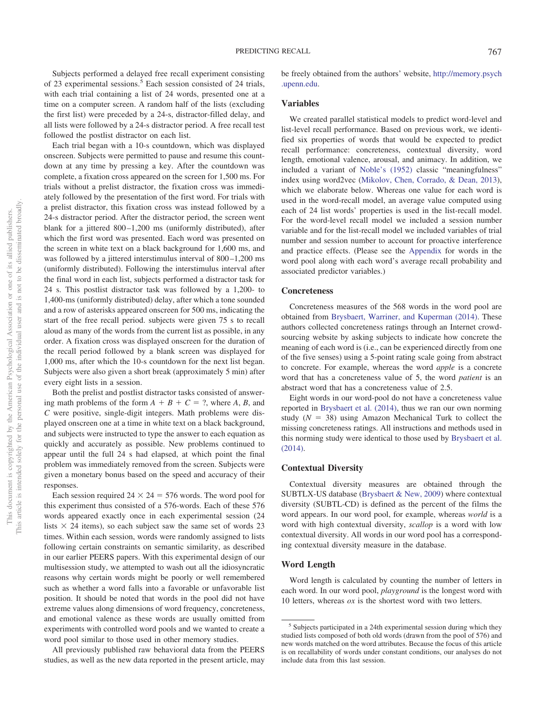Subjects performed a delayed free recall experiment consisting of 23 experimental sessions.<sup>5</sup> Each session consisted of 24 trials, with each trial containing a list of 24 words, presented one at a time on a computer screen. A random half of the lists (excluding the first list) were preceded by a 24-s, distractor-filled delay, and all lists were followed by a 24-s distractor period. A free recall test followed the postlist distractor on each list.

Each trial began with a 10-s countdown, which was displayed onscreen. Subjects were permitted to pause and resume this countdown at any time by pressing a key. After the countdown was complete, a fixation cross appeared on the screen for 1,500 ms. For trials without a prelist distractor, the fixation cross was immediately followed by the presentation of the first word. For trials with a prelist distractor, this fixation cross was instead followed by a 24-s distractor period. After the distractor period, the screen went blank for a jittered 800–1,200 ms (uniformly distributed), after which the first word was presented. Each word was presented on the screen in white text on a black background for 1,600 ms, and was followed by a jittered interstimulus interval of 800–1,200 ms (uniformly distributed). Following the interstimulus interval after the final word in each list, subjects performed a distractor task for 24 s. This postlist distractor task was followed by a 1,200- to 1,400-ms (uniformly distributed) delay, after which a tone sounded and a row of asterisks appeared onscreen for 500 ms, indicating the start of the free recall period. subjects were given 75 s to recall aloud as many of the words from the current list as possible, in any order. A fixation cross was displayed onscreen for the duration of the recall period followed by a blank screen was displayed for 1,000 ms, after which the 10-s countdown for the next list began. Subjects were also given a short break (approximately 5 min) after every eight lists in a session.

Both the prelist and postlist distractor tasks consisted of answering math problems of the form  $A + B + C = ?$ , where  $A, B$ , and *C* were positive, single-digit integers. Math problems were displayed onscreen one at a time in white text on a black background, and subjects were instructed to type the answer to each equation as quickly and accurately as possible. New problems continued to appear until the full 24 s had elapsed, at which point the final problem was immediately removed from the screen. Subjects were given a monetary bonus based on the speed and accuracy of their responses.

Each session required  $24 \times 24 = 576$  words. The word pool for this experiment thus consisted of a 576-words. Each of these 576 words appeared exactly once in each experimental session (24 lists  $\times$  24 items), so each subject saw the same set of words 23 times. Within each session, words were randomly assigned to lists following certain constraints on semantic similarity, as described in our earlier PEERS papers. With this experimental design of our multisession study, we attempted to wash out all the idiosyncratic reasons why certain words might be poorly or well remembered such as whether a word falls into a favorable or unfavorable list position. It should be noted that words in the pool did not have extreme values along dimensions of word frequency, concreteness, and emotional valence as these words are usually omitted from experiments with controlled word pools and we wanted to create a word pool similar to those used in other memory studies.

All previously published raw behavioral data from the PEERS studies, as well as the new data reported in the present article, may be freely obtained from the authors' website, [http://memory.psych](http://memory.psych.upenn.edu) [.upenn.edu.](http://memory.psych.upenn.edu)

# **Variables**

We created parallel statistical models to predict word-level and list-level recall performance. Based on previous work, we identified six properties of words that would be expected to predict recall performance: concreteness, contextual diversity, word length, emotional valence, arousal, and animacy. In addition, we included a variant of [Noble's \(1952\)](#page-8-20) classic "meaningfulness" index using word2vec [\(Mikolov, Chen, Corrado, & Dean, 2013\)](#page-8-32), which we elaborate below. Whereas one value for each word is used in the word-recall model, an average value computed using each of 24 list words' properties is used in the list-recall model. For the word-level recall model we included a session number variable and for the list-recall model we included variables of trial number and session number to account for proactive interference and practice effects. (Please see the [Appendix](#page-10-0) for words in the word pool along with each word's average recall probability and associated predictor variables.)

#### **Concreteness**

Concreteness measures of the 568 words in the word pool are obtained from [Brysbaert, Warriner, and Kuperman \(2014\).](#page-8-33) These authors collected concreteness ratings through an Internet crowdsourcing website by asking subjects to indicate how concrete the meaning of each word is (i.e., can be experienced directly from one of the five senses) using a 5-point rating scale going from abstract to concrete. For example, whereas the word *apple* is a concrete word that has a concreteness value of 5, the word *patient* is an abstract word that has a concreteness value of 2.5.

Eight words in our word-pool do not have a concreteness value reported in [Brysbaert et al. \(2014\),](#page-8-33) thus we ran our own norming study  $(N = 38)$  using Amazon Mechanical Turk to collect the missing concreteness ratings. All instructions and methods used in this norming study were identical to those used by [Brysbaert et al.](#page-8-33) [\(2014\).](#page-8-33)

## **Contextual Diversity**

Contextual diversity measures are obtained through the SUBTLX-US database [\(Brysbaert & New, 2009\)](#page-7-1) where contextual diversity (SUBTL-CD) is defined as the percent of the films the word appears. In our word pool, for example, whereas *world* is a word with high contextual diversity, *scallop* is a word with low contextual diversity. All words in our word pool has a corresponding contextual diversity measure in the database.

#### **Word Length**

Word length is calculated by counting the number of letters in each word. In our word pool, *playground* is the longest word with 10 letters, whereas *ox* is the shortest word with two letters.

<sup>&</sup>lt;sup>5</sup> Subjects participated in a 24th experimental session during which they studied lists composed of both old words (drawn from the pool of 576) and new words matched on the word attributes. Because the focus of this article is on recallability of words under constant conditions, our analyses do not include data from this last session.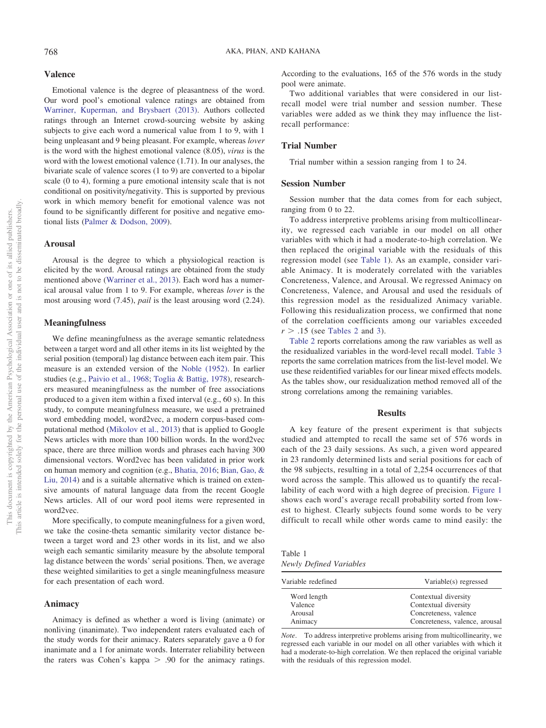## **Valence**

Emotional valence is the degree of pleasantness of the word. Our word pool's emotional valence ratings are obtained from [Warriner, Kuperman, and Brysbaert \(2013\).](#page-9-6) Authors collected ratings through an Internet crowd-sourcing website by asking subjects to give each word a numerical value from 1 to 9, with 1 being unpleasant and 9 being pleasant. For example, whereas *lover* is the word with the highest emotional valence (8.05), *virus* is the word with the lowest emotional valence (1.71). In our analyses, the bivariate scale of valence scores (1 to 9) are converted to a bipolar scale (0 to 4), forming a pure emotional intensity scale that is not conditional on positivity/negativity. This is supported by previous work in which memory benefit for emotional valence was not found to be significantly different for positive and negative emotional lists [\(Palmer & Dodson, 2009\)](#page-9-7).

#### **Arousal**

Arousal is the degree to which a physiological reaction is elicited by the word. Arousal ratings are obtained from the study mentioned above [\(Warriner et al., 2013\)](#page-9-6). Each word has a numerical arousal value from 1 to 9. For example, whereas *lover* is the most arousing word (7.45), *pail* is the least arousing word (2.24).

# **Meaningfulness**

We define meaningfulness as the average semantic relatedness between a target word and all other items in its list weighted by the serial position (temporal) lag distance between each item pair. This measure is an extended version of the [Noble \(1952\).](#page-8-20) In earlier studies (e.g., [Paivio et al., 1968;](#page-8-9) [Toglia & Battig, 1978\)](#page-9-8), researchers measured meaningfulness as the number of free associations produced to a given item within a fixed interval (e.g., 60 s). In this study, to compute meaningfulness measure, we used a pretrained word embedding model, word2vec, a modern corpus-based computational method [\(Mikolov et al., 2013\)](#page-8-32) that is applied to Google News articles with more than 100 billion words. In the word2vec space, there are three million words and phrases each having 300 dimensional vectors. Word2vec has been validated in prior work on human memory and cognition (e.g., [Bhatia, 2016;](#page-7-4) [Bian, Gao, &](#page-7-5) [Liu, 2014\)](#page-7-5) and is a suitable alternative which is trained on extensive amounts of natural language data from the recent Google News articles. All of our word pool items were represented in word2vec.

More specifically, to compute meaningfulness for a given word, we take the cosine-theta semantic similarity vector distance between a target word and 23 other words in its list, and we also weigh each semantic similarity measure by the absolute temporal lag distance between the words' serial positions. Then, we average these weighted similarities to get a single meaningfulness measure for each presentation of each word.

#### **Animacy**

Animacy is defined as whether a word is living (animate) or nonliving (inanimate). Two independent raters evaluated each of the study words for their animacy. Raters separately gave a 0 for inanimate and a 1 for animate words. Interrater reliability between the raters was Cohen's kappa  $> .90$  for the animacy ratings.

According to the evaluations, 165 of the 576 words in the study pool were animate.

Two additional variables that were considered in our listrecall model were trial number and session number. These variables were added as we think they may influence the listrecall performance:

# **Trial Number**

Trial number within a session ranging from 1 to 24.

## **Session Number**

Session number that the data comes from for each subject, ranging from 0 to 22.

To address interpretive problems arising from multicollinearity, we regressed each variable in our model on all other variables with which it had a moderate-to-high correlation. We then replaced the original variable with the residuals of this regression model (see [Table 1\)](#page-3-0). As an example, consider variable Animacy. It is moderately correlated with the variables Concreteness, Valence, and Arousal. We regressed Animacy on Concreteness, Valence, and Arousal and used the residuals of this regression model as the residualized Animacy variable. Following this residualization process, we confirmed that none of the correlation coefficients among our variables exceeded  $r > .15$  (see [Tables 2](#page-4-0) and [3\)](#page-4-1).

[Table 2](#page-4-0) reports correlations among the raw variables as well as the residualized variables in the word-level recall model. [Table 3](#page-4-1) reports the same correlation matrices from the list-level model. We use these reidentified variables for our linear mixed effects models. As the tables show, our residualization method removed all of the strong correlations among the remaining variables.

### **Results**

A key feature of the present experiment is that subjects studied and attempted to recall the same set of 576 words in each of the 23 daily sessions. As such, a given word appeared in 23 randomly determined lists and serial positions for each of the 98 subjects, resulting in a total of 2,254 occurrences of that word across the sample. This allowed us to quantify the recallability of each word with a high degree of precision. [Figure 1](#page-5-0) shows each word's average recall probability sorted from lowest to highest. Clearly subjects found some words to be very difficult to recall while other words came to mind easily: the

<span id="page-3-0"></span>Table 1 *Newly Defined Variables*

| Variable redefined | Variable(s) regressed          |
|--------------------|--------------------------------|
| Word length        | Contextual diversity           |
| Valence            | Contextual diversity           |
| Arousal            | Concreteness, valence          |
| Animacy            | Concreteness, valence, arousal |

*Note*. To address interpretive problems arising from multicollinearity, we regressed each variable in our model on all other variables with which it had a moderate-to-high correlation. We then replaced the original variable with the residuals of this regression model.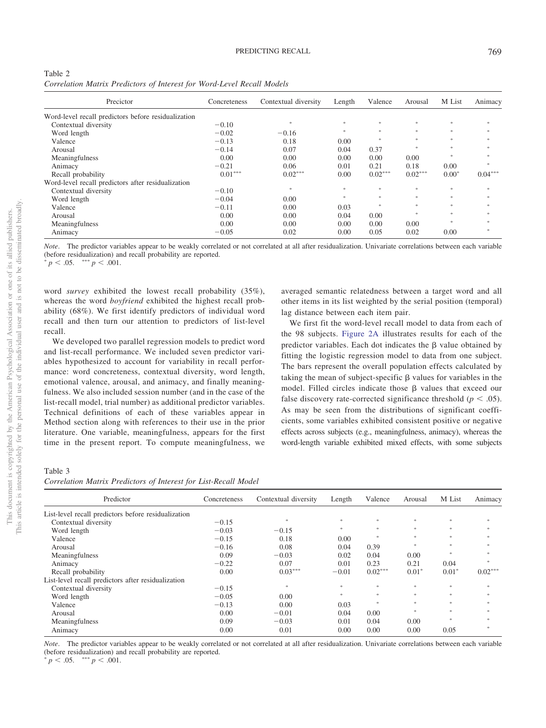<span id="page-4-0"></span>

| Table 2 |  |  |                                                                        |  |
|---------|--|--|------------------------------------------------------------------------|--|
|         |  |  | Correlation Matrix Predictors of Interest for Word-Level Recall Models |  |

| Precictor                                           | Concreteness | Contextual diversity | Length    | Valence   | Arousal           | M List        | Animacy   |
|-----------------------------------------------------|--------------|----------------------|-----------|-----------|-------------------|---------------|-----------|
| Word-level recall predictors before residualization |              |                      |           |           |                   |               |           |
| Contextual diversity                                | $-0.10$      | 宋                    | $\gg$     | $2\%$     | 宋                 | $\gg$         |           |
| Word length                                         | $-0.02$      | $-0.16$              | <b>St</b> | sk.       | 宋                 | $\gg$         |           |
| Valence                                             | $-0.13$      | 0.18                 | 0.00      | $2\%$     | $\frac{1}{26}$    | $\approx$     | Mo.       |
| Arousal                                             | $-0.14$      | 0.07                 | 0.04      | 0.37      |                   | $\mathcal{R}$ |           |
| Meaningfulness                                      | 0.00         | 0.00                 | 0.00      | 0.00      | 0.00              | $\gg$         |           |
| Animacy                                             | $-0.21$      | 0.06                 | 0.01      | 0.21      | 0.18              | 0.00          |           |
| Recall probability                                  | $0.01***$    | $0.02***$            | 0.00      | $0.02***$ | $0.02***$         | $0.00*$       | $0.04***$ |
| Word-level recall predictors after residualization  |              |                      |           |           |                   |               |           |
| Contextual diversity                                | $-0.10$      | 宋                    | $\gg$     | 宋         | 宋                 | $\gg$         |           |
| Word length                                         | $-0.04$      | 0.00                 | $\gg$     | 冰         | $\frac{1}{2} \xi$ | $\frac{1}{2}$ | Mo.       |
| Valence                                             | $-0.11$      | 0.00                 | 0.03      | S)        | the.              | $\gg$         |           |
| Arousal                                             | 0.00         | 0.00                 | 0.04      | 0.00      |                   | $\approx$     | Mo.       |
| Meaningfulness                                      | 0.00         | 0.00                 | 0.00      | 0.00      | 0.00              | <b>St</b>     |           |
| Animacy                                             | $-0.05$      | 0.02                 | 0.00      | 0.05      | 0.02              | 0.00          |           |

*Note*. The predictor variables appear to be weakly correlated or not correlated at all after residualization. Univariate correlations between each variable (before residualization) and recall probability are reported.

 $p < .05.$  \*\*\*  $p < .001.$ 

word *survey* exhibited the lowest recall probability (35%), whereas the word *boyfriend* exhibited the highest recall probability (68%). We first identify predictors of individual word recall and then turn our attention to predictors of list-level recall.

We developed two parallel regression models to predict word and list-recall performance. We included seven predictor variables hypothesized to account for variability in recall performance: word concreteness, contextual diversity, word length, emotional valence, arousal, and animacy, and finally meaningfulness. We also included session number (and in the case of the list-recall model, trial number) as additional predictor variables. Technical definitions of each of these variables appear in Method section along with references to their use in the prior literature. One variable, meaningfulness, appears for the first time in the present report. To compute meaningfulness, we averaged semantic relatedness between a target word and all other items in its list weighted by the serial position (temporal) lag distance between each item pair.

We first fit the word-level recall model to data from each of the 98 subjects. [Figure 2A](#page-6-0) illustrates results for each of the predictor variables. Each dot indicates the  $\beta$  value obtained by fitting the logistic regression model to data from one subject. The bars represent the overall population effects calculated by taking the mean of subject-specific  $\beta$  values for variables in the model. Filled circles indicate those  $\beta$  values that exceed our false discovery rate-corrected significance threshold ( $p < .05$ ). As may be seen from the distributions of significant coefficients, some variables exhibited consistent positive or negative effects across subjects (e.g., meaningfulness, animacy), whereas the word-length variable exhibited mixed effects, with some subjects

#### <span id="page-4-1"></span>Table 3

| Correlation Matrix Predictors of Interest for List-Recall Model |  |  |  |  |  |
|-----------------------------------------------------------------|--|--|--|--|--|
|-----------------------------------------------------------------|--|--|--|--|--|

| Predictor                                           | Concreteness | Contextual diversity | Length        | Valence           | Arousal       | M List                   | Animacy       |
|-----------------------------------------------------|--------------|----------------------|---------------|-------------------|---------------|--------------------------|---------------|
| List-level recall predictors before residualization |              |                      |               |                   |               |                          |               |
| Contextual diversity                                | $-0.15$      | $2\%$                | $\frac{1}{2}$ | $\frac{1}{2} \xi$ | $\frac{1}{2}$ | $\frac{1}{2} \mathbb{R}$ | $\frac{1}{2}$ |
| Word length                                         | $-0.03$      | $-0.15$              | 宋             | $\frac{1}{2}$     | 宋             | *                        |               |
| Valence                                             | $-0.15$      | 0.18                 | 0.00          | $\frac{1}{2}$     | 宋             | $\gg$                    |               |
| Arousal                                             | $-0.16$      | 0.08                 | 0.04          | 0.39              | 14            | $\frac{1}{2} \mathbb{R}$ |               |
| Meaningfulness                                      | 0.09         | $-0.03$              | 0.02          | 0.04              | 0.00          | ×.                       |               |
| Animacy                                             | $-0.22$      | 0.07                 | 0.01          | 0.23              | 0.21          | 0.04                     |               |
| Recall probability                                  | 0.00         | $0.03***$            | $-0.01$       | $0.02***$         | $0.01*$       | $0.01*$                  | $0.02***$     |
| List-level recall predictors after residualization  |              |                      |               |                   |               |                          |               |
| Contextual diversity                                | $-0.15$      | $\frac{1}{26}$       | $\frac{1}{2}$ | $\frac{1}{2} \xi$ | $\frac{1}{2}$ | $\frac{1}{2} \mathbb{R}$ | $\frac{1}{2}$ |
| Word length                                         | $-0.05$      | 0.00                 | 宋             | $\frac{1}{2}$     | 宋             | 家.                       |               |
| Valence                                             | $-0.13$      | 0.00                 | 0.03          | $\frac{1}{2}$     | $\frac{1}{2}$ | $\gg$                    |               |
| Arousal                                             | 0.00         | $-0.01$              | 0.04          | 0.00              | 14            | $\gg$                    |               |
| Meaningfulness                                      | 0.09         | $-0.03$              | 0.01          | 0.04              | 0.00          | $\gg$                    |               |
| Animacy                                             | 0.00         | 0.01                 | 0.00          | 0.00              | 0.00          | 0.05                     | <b>Mo</b>     |

*Note*. The predictor variables appear to be weakly correlated or not correlated at all after residualization. Univariate correlations between each variable (before residualization) and recall probability are reported.

 $p^* p < .05.$  \*\*\*  $p < .001.$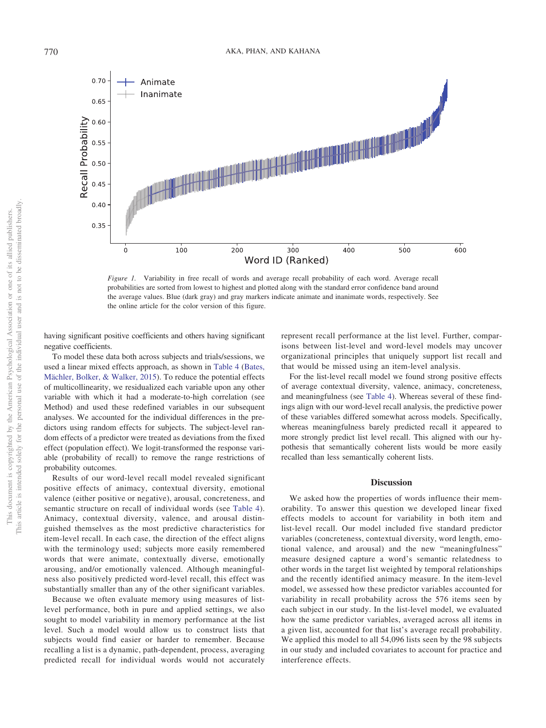0.70 Animate Inanimate 0.65 Recall Probability  $0.60$  $0.55$  $0.50$  $0.45$  $0.40$ 0.35 100 200 300 400 500 600 Word ID (Ranked)

<span id="page-5-0"></span>*Figure 1.* Variability in free recall of words and average recall probability of each word. Average recall probabilities are sorted from lowest to highest and plotted along with the standard error confidence band around the average values. Blue (dark gray) and gray markers indicate animate and inanimate words, respectively. See the online article for the color version of this figure.

having significant positive coefficients and others having significant negative coefficients.

To model these data both across subjects and trials/sessions, we used a linear mixed effects approach, as shown in [Table 4](#page-6-1) [\(Bates,](#page-7-6) [Mächler, Bolker, & Walker, 2015\)](#page-7-6). To reduce the potential effects of multicollinearity, we residualized each variable upon any other variable with which it had a moderate-to-high correlation (see Method) and used these redefined variables in our subsequent analyses. We accounted for the individual differences in the predictors using random effects for subjects. The subject-level random effects of a predictor were treated as deviations from the fixed effect (population effect). We logit-transformed the response variable (probability of recall) to remove the range restrictions of probability outcomes.

Results of our word-level recall model revealed significant positive effects of animacy, contextual diversity, emotional valence (either positive or negative), arousal, concreteness, and semantic structure on recall of individual words (see [Table 4\)](#page-6-1). Animacy, contextual diversity, valence, and arousal distinguished themselves as the most predictive characteristics for item-level recall. In each case, the direction of the effect aligns with the terminology used; subjects more easily remembered words that were animate, contextually diverse, emotionally arousing, and/or emotionally valenced. Although meaningfulness also positively predicted word-level recall, this effect was substantially smaller than any of the other significant variables.

Because we often evaluate memory using measures of listlevel performance, both in pure and applied settings, we also sought to model variability in memory performance at the list level. Such a model would allow us to construct lists that subjects would find easier or harder to remember. Because recalling a list is a dynamic, path-dependent, process, averaging predicted recall for individual words would not accurately

represent recall performance at the list level. Further, comparisons between list-level and word-level models may uncover organizational principles that uniquely support list recall and that would be missed using an item-level analysis.

For the list-level recall model we found strong positive effects of average contextual diversity, valence, animacy, concreteness, and meaningfulness (see [Table 4\)](#page-6-1). Whereas several of these findings align with our word-level recall analysis, the predictive power of these variables differed somewhat across models. Specifically, whereas meaningfulness barely predicted recall it appeared to more strongly predict list level recall. This aligned with our hypothesis that semantically coherent lists would be more easily recalled than less semantically coherent lists.

#### **Discussion**

We asked how the properties of words influence their memorability. To answer this question we developed linear fixed effects models to account for variability in both item and list-level recall. Our model included five standard predictor variables (concreteness, contextual diversity, word length, emotional valence, and arousal) and the new "meaningfulness" measure designed capture a word's semantic relatedness to other words in the target list weighted by temporal relationships and the recently identified animacy measure. In the item-level model, we assessed how these predictor variables accounted for variability in recall probability across the 576 items seen by each subject in our study. In the list-level model, we evaluated how the same predictor variables, averaged across all items in a given list, accounted for that list's average recall probability. We applied this model to all 54,096 lists seen by the 98 subjects in our study and included covariates to account for practice and interference effects.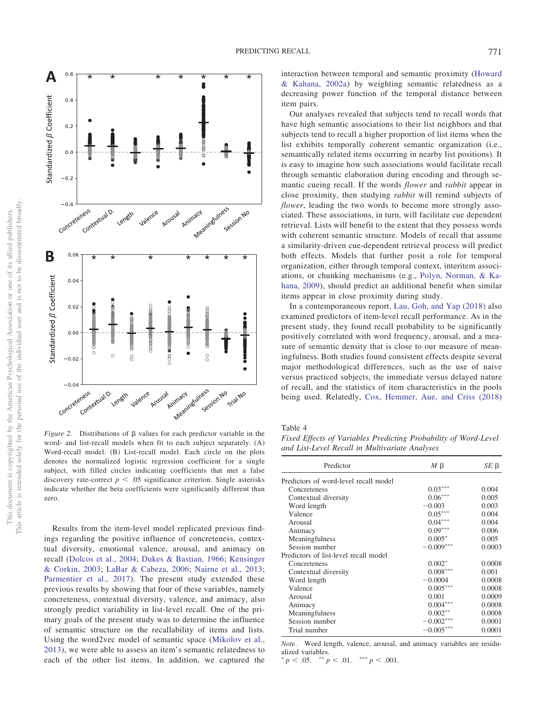

<span id="page-6-0"></span>*Figure 2.* Distributions of  $\beta$  values for each predictor variable in the word- and list-recall models when fit to each subject separately. (A) Word-recall model. (B) List-recall model. Each circle on the plots denotes the normalized logistic regression coefficient for a single subject, with filled circles indicating coefficients that met a false discovery rate-correct  $p < .05$  significance criterion. Single asterisks indicate whether the beta coefficients were significantly different than zero.

Results from the item-level model replicated previous findings regarding the positive influence of concreteness, contextual diversity, emotional valence, arousal, and animacy on recall [\(Dolcos et al., 2004;](#page-8-13) [Dukes & Bastian, 1966;](#page-8-2) [Kensinger](#page-8-14) [& Corkin, 2003;](#page-8-14) [LaBar & Cabeza, 2006;](#page-8-15) [Nairne et al., 2013;](#page-8-25) [Parmentier et al., 2017\)](#page-9-2). The present study extended these previous results by showing that four of these variables, namely concreteness, contextual diversity, valence, and animacy, also strongly predict variability in list-level recall. One of the primary goals of the present study was to determine the influence of semantic structure on the recallability of items and lists. Using the word2vec model of semantic space [\(Mikolov et al.,](#page-8-32) [2013\)](#page-8-32), we were able to assess an item's semantic relatedness to each of the other list items. In addition, we captured the interaction between temporal and semantic proximity [\(Howard](#page-8-34) [& Kahana, 2002a\)](#page-8-34) by weighting semantic relatedness as a decreasing power function of the temporal distance between item pairs.

Our analyses revealed that subjects tend to recall words that have high semantic associations to their list neighbors and that subjects tend to recall a higher proportion of list items when the list exhibits temporally coherent semantic organization (i.e., semantically related items occurring in nearby list positions). It is easy to imagine how such associations would facilitate recall through semantic elaboration during encoding and through semantic cueing recall. If the words *flower* and *rabbit* appear in close proximity, then studying *rabbit* will remind subjects of *flower*, leading the two words to become more strongly associated. These associations, in turn, will facilitate cue dependent retrieval. Lists will benefit to the extent that they possess words with coherent semantic structure. Models of recall that assume a similarity-driven cue-dependent retrieval process will predict both effects. Models that further posit a role for temporal organization, either through temporal context, interitem associations, or chunking mechanisms (e.g., [Polyn, Norman, & Ka](#page-9-9)[hana, 2009\)](#page-9-9), should predict an additional benefit when similar items appear in close proximity during study.

In a contemporaneous report, [Lau, Goh, and Yap \(2018\)](#page-8-35) also examined predictors of item-level recall performance. As in the present study, they found recall probability to be significantly positively correlated with word frequency, arousal, and a measure of semantic density that is close to our measure of meaningfulness. Both studies found consistent effects despite several major methodological differences, such as the use of naive versus practiced subjects, the immediate versus delayed nature of recall, and the statistics of item characteristics in the pools being used. Relatedly, [Cox, Hemmer, Aue, and Criss \(2018\)](#page-8-36)

<span id="page-6-1"></span>Table 4

*Fixed Effects of Variables Predicting Probability of Word-Level and List-Level Recall in Multivariate Analyses*

| Predictor                             | $M \upbeta$ | $SE$ $\beta$ |
|---------------------------------------|-------------|--------------|
| Predictors of word-level recall model |             |              |
| Concreteness                          | $0.03***$   | 0.004        |
| Contextual diversity                  | $0.06***$   | 0.005        |
| Word length                           | $-0.003$    | 0.003        |
| Valence                               | $0.05***$   | 0.004        |
| Arousal                               | $0.04***$   | 0.004        |
| Animacy                               | $0.09***$   | 0.006        |
| Meaningfulness                        | $0.005*$    | 0.005        |
| Session number                        | $-0.009***$ | 0.0003       |
| Predictors of list-level recall model |             |              |
| Concreteness                          | $0.002*$    | 0.0008       |
| Contextual diversity                  | $0.008***$  | 0.001        |
| Word length                           | $-0.0004$   | 0.0008       |
| Valence                               | $0.005***$  | 0.0008       |
| Arousal                               | 0.001       | 0.0009       |
| Animacy                               | $0.004***$  | 0.0008       |
| Meaningfulness                        | $0.002***$  | 0.0008       |
| Session number                        | $-0.002***$ | 0.0001       |
| Trial number                          | $-0.005$    | 0.0001       |

*Note*. Word length, valence, arousal, and animacy variables are residualized variables.

 $p < .05.$  \*\*  $p < .01.$  \*\*\*  $p < .001.$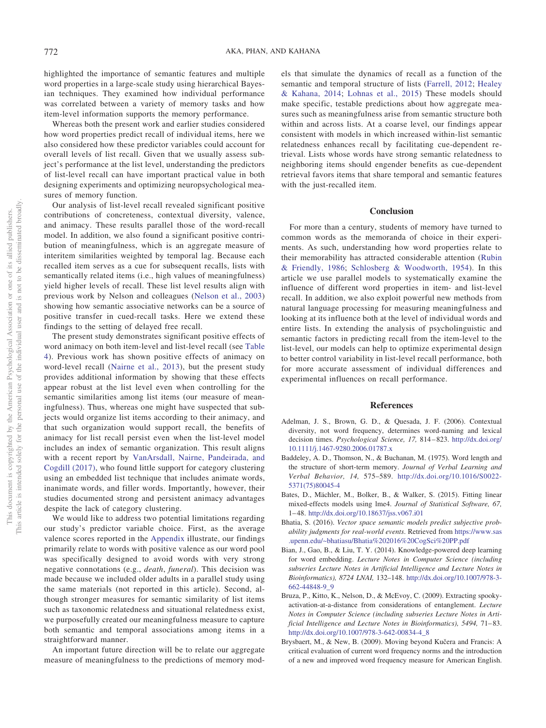highlighted the importance of semantic features and multiple word properties in a large-scale study using hierarchical Bayesian techniques. They examined how individual performance was correlated between a variety of memory tasks and how item-level information supports the memory performance.

Whereas both the present work and earlier studies considered how word properties predict recall of individual items, here we also considered how these predictor variables could account for overall levels of list recall. Given that we usually assess subject's performance at the list level, understanding the predictors of list-level recall can have important practical value in both designing experiments and optimizing neuropsychological measures of memory function.

Our analysis of list-level recall revealed significant positive contributions of concreteness, contextual diversity, valence, and animacy. These results parallel those of the word-recall model. In addition, we also found a significant positive contribution of meaningfulness, which is an aggregate measure of interitem similarities weighted by temporal lag. Because each recalled item serves as a cue for subsequent recalls, lists with semantically related items (i.e., high values of meaningfulness) yield higher levels of recall. These list level results align with previous work by Nelson and colleagues [\(Nelson et al., 2003\)](#page-8-23) showing how semantic associative networks can be a source of positive transfer in cued-recall tasks. Here we extend these findings to the setting of delayed free recall.

The present study demonstrates significant positive effects of word animacy on both item-level and list-level recall (see [Table](#page-6-1) [4\)](#page-6-1). Previous work has shown positive effects of animacy on word-level recall [\(Nairne et al., 2013\)](#page-8-25), but the present study provides additional information by showing that these effects appear robust at the list level even when controlling for the semantic similarities among list items (our measure of meaningfulness). Thus, whereas one might have suspected that subjects would organize list items according to their animacy, and that such organization would support recall, the benefits of animacy for list recall persist even when the list-level model includes an index of semantic organization. This result aligns with a recent report by [VanArsdall, Nairne, Pandeirada, and](#page-9-10) [Cogdill \(2017\),](#page-9-10) who found little support for category clustering using an embedded list technique that includes animate words, inanimate words, and filler words. Importantly, however, their studies documented strong and persistent animacy advantages despite the lack of category clustering.

We would like to address two potential limitations regarding our study's predictor variable choice. First, as the average valence scores reported in the [Appendix](#page-10-0) illustrate, our findings primarily relate to words with positive valence as our word pool was specifically designed to avoid words with very strong negative connotations (e.g., *death*, *funeral*). This decision was made because we included older adults in a parallel study using the same materials (not reported in this article). Second, although stronger measures for semantic similarity of list items such as taxonomic relatedness and situational relatedness exist, we purposefully created our meaningfulness measure to capture both semantic and temporal associations among items in a straightforward manner.

An important future direction will be to relate our aggregate measure of meaningfulness to the predictions of memory models that simulate the dynamics of recall as a function of the semantic and temporal structure of lists [\(Farrell, 2012;](#page-8-37) [Healey](#page-8-27) [& Kahana, 2014;](#page-8-27) [Lohnas et al., 2015\)](#page-8-30) These models should make specific, testable predictions about how aggregate measures such as meaningfulness arise from semantic structure both within and across lists. At a coarse level, our findings appear consistent with models in which increased within-list semantic relatedness enhances recall by facilitating cue-dependent retrieval. Lists whose words have strong semantic relatedness to neighboring items should engender benefits as cue-dependent retrieval favors items that share temporal and semantic features with the just-recalled item.

## **Conclusion**

For more than a century, students of memory have turned to common words as the memoranda of choice in their experiments. As such, understanding how word properties relate to their memorability has attracted considerable attention [\(Rubin](#page-9-5) [& Friendly, 1986;](#page-9-5) [Schlosberg & Woodworth, 1954\)](#page-9-11). In this article we use parallel models to systematically examine the influence of different word properties in item- and list-level recall. In addition, we also exploit powerful new methods from natural language processing for measuring meaningfulness and looking at its influence both at the level of individual words and entire lists. In extending the analysis of psycholinguistic and semantic factors in predicting recall from the item-level to the list-level, our models can help to optimize experimental design to better control variability in list-level recall performance, both for more accurate assessment of individual differences and experimental influences on recall performance.

## **References**

- <span id="page-7-0"></span>Adelman, J. S., Brown, G. D., & Quesada, J. F. (2006). Contextual diversity, not word frequency, determines word-naming and lexical decision times. *Psychological Science, 17,* 814–823. [http://dx.doi.org/](http://dx.doi.org/10.1111/j.1467-9280.2006.01787.x) [10.1111/j.1467-9280.2006.01787.x](http://dx.doi.org/10.1111/j.1467-9280.2006.01787.x)
- <span id="page-7-2"></span>Baddeley, A. D., Thomson, N., & Buchanan, M. (1975). Word length and the structure of short-term memory. *Journal of Verbal Learning and Verbal Behavior, 14,* 575–589. [http://dx.doi.org/10.1016/S0022-](http://dx.doi.org/10.1016/S0022-5371%2875%2980045-4) [5371\(75\)80045-4](http://dx.doi.org/10.1016/S0022-5371%2875%2980045-4)
- <span id="page-7-6"></span>Bates, D., Mächler, M., Bolker, B., & Walker, S. (2015). Fitting linear mixed-effects models using lme4. *Journal of Statistical Software, 67,* 1–48. <http://dx.doi.org/10.18637/jss.v067.i01>
- <span id="page-7-4"></span>Bhatia, S. (2016). *Vector space semantic models predict subjective probability judgments for real-world events*. Retrieved from [https://www.sas](https://www.sas.upenn.edu/%7Ebhatiasu/Bhatia%202016%20CogSci%20PP.pdf) [.upenn.edu/~bhatiasu/Bhatia%202016%20CogSci%20PP.pdf](https://www.sas.upenn.edu/%7Ebhatiasu/Bhatia%202016%20CogSci%20PP.pdf)
- <span id="page-7-5"></span>Bian, J., Gao, B., & Liu, T. Y. (2014). Knowledge-powered deep learning for word embedding. *Lecture Notes in Computer Science (including subseries Lecture Notes in Artificial Intelligence and Lecture Notes in Bioinformatics), 8724 LNAI,* 132–148. [http://dx.doi.org/10.1007/978-3-](http://dx.doi.org/10.1007/978-3-662-44848-9_9) [662-44848-9\\_9](http://dx.doi.org/10.1007/978-3-662-44848-9_9)
- <span id="page-7-3"></span>Bruza, P., Kitto, K., Nelson, D., & McEvoy, C. (2009). Extracting spookyactivation-at-a-distance from considerations of entanglement. *Lecture Notes in Computer Science (including subseries Lecture Notes in Artificial Intelligence and Lecture Notes in Bioinformatics), 5494,* 71–83. [http://dx.doi.org/10.1007/978-3-642-00834-4\\_8](http://dx.doi.org/10.1007/978-3-642-00834-4_8)
- <span id="page-7-1"></span>Brysbaert, M., & New, B. (2009). Moving beyond Kučera and Francis: A critical evaluation of current word frequency norms and the introduction of a new and improved word frequency measure for American English.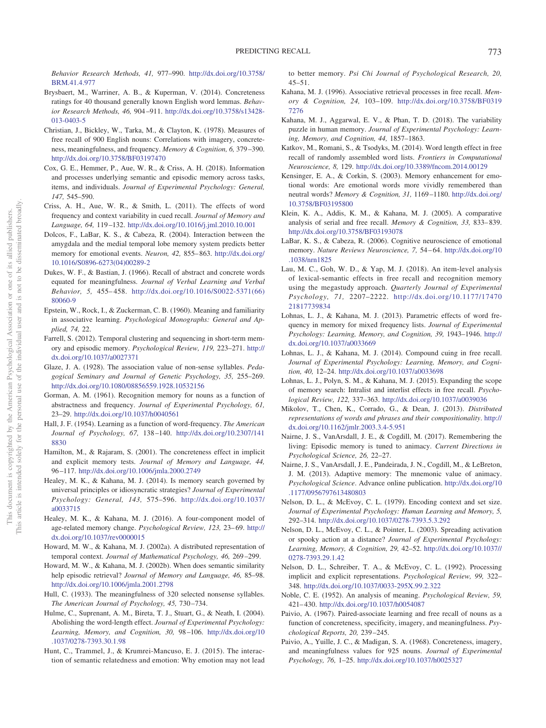*Behavior Research Methods, 41,* 977–990. [http://dx.doi.org/10.3758/](http://dx.doi.org/10.3758/BRM.41.4.977) [BRM.41.4.977](http://dx.doi.org/10.3758/BRM.41.4.977)

- <span id="page-8-33"></span>Brysbaert, M., Warriner, A. B., & Kuperman, V. (2014). Concreteness ratings for 40 thousand generally known English word lemmas. *Behavior Research Methods, 46,* 904–911. [http://dx.doi.org/10.3758/s13428-](http://dx.doi.org/10.3758/s13428-013-0403-5) [013-0403-5](http://dx.doi.org/10.3758/s13428-013-0403-5)
- <span id="page-8-21"></span>Christian, J., Bickley, W., Tarka, M., & Clayton, K. (1978). Measures of free recall of 900 English nouns: Correlations with imagery, concreteness, meaningfulness, and frequency. *Memory & Cognition, 6,* 379–390. <http://dx.doi.org/10.3758/BF03197470>
- <span id="page-8-36"></span>Cox, G. E., Hemmer, P., Aue, W. R., & Criss, A. H. (2018). Information and processes underlying semantic and episodic memory across tasks, items, and individuals. *Journal of Experimental Psychology: General, 147,* 545–590.
- <span id="page-8-10"></span>Criss, A. H., Aue, W. R., & Smith, L. (2011). The effects of word frequency and context variability in cued recall. *Journal of Memory and Language, 64,* 119–132. <http://dx.doi.org/10.1016/j.jml.2010.10.001>
- <span id="page-8-13"></span>Dolcos, F., LaBar, K. S., & Cabeza, R. (2004). Interaction between the amygdala and the medial temporal lobe memory system predicts better memory for emotional events. *Neuron, 42,* 855–863. [http://dx.doi.org/](http://dx.doi.org/10.1016/S0896-6273%2804%2900289-2) [10.1016/S0896-6273\(04\)00289-2](http://dx.doi.org/10.1016/S0896-6273%2804%2900289-2)
- <span id="page-8-2"></span>Dukes, W. F., & Bastian, J. (1966). Recall of abstract and concrete words equated for meaningfulness. *Journal of Verbal Learning and Verbal Behavior, 5,* 455–458. [http://dx.doi.org/10.1016/S0022-5371\(66\)](http://dx.doi.org/10.1016/S0022-5371%2866%2980060-9) [80060-9](http://dx.doi.org/10.1016/S0022-5371%2866%2980060-9)
- <span id="page-8-6"></span>Epstein, W., Rock, I., & Zuckerman, C. B. (1960). Meaning and familiarity in associative learning. *Psychological Monographs: General and Applied, 74,* 22.
- <span id="page-8-37"></span>Farrell, S. (2012). Temporal clustering and sequencing in short-term memory and episodic memory. *Psychological Review, 119,* 223–271. [http://](http://dx.doi.org/10.1037/a0027371) [dx.doi.org/10.1037/a0027371](http://dx.doi.org/10.1037/a0027371)
- <span id="page-8-0"></span>Glaze, J. A. (1928). The association value of non-sense syllables. *Pedagogical Seminary and Journal of Genetic Psychology, 35,* 255–269. <http://dx.doi.org/10.1080/08856559.1928.10532156>
- <span id="page-8-5"></span>Gorman, A. M. (1961). Recognition memory for nouns as a function of abstractness and frequency. *Journal of Experimental Psychology, 61,* 23–29. <http://dx.doi.org/10.1037/h0040561>
- <span id="page-8-7"></span>Hall, J. F. (1954). Learning as a function of word-frequency. *The American Journal of Psychology, 67,* 138–140. [http://dx.doi.org/10.2307/141](http://dx.doi.org/10.2307/1418830) [8830](http://dx.doi.org/10.2307/1418830)
- <span id="page-8-3"></span>Hamilton, M., & Rajaram, S. (2001). The concreteness effect in implicit and explicit memory tests. *Journal of Memory and Language, 44,* 96–117. <http://dx.doi.org/10.1006/jmla.2000.2749>
- <span id="page-8-27"></span>Healey, M. K., & Kahana, M. J. (2014). Is memory search governed by universal principles or idiosyncratic strategies? *Journal of Experimental Psychology: General, 143,* 575–596. [http://dx.doi.org/10.1037/](http://dx.doi.org/10.1037/a0033715) [a0033715](http://dx.doi.org/10.1037/a0033715)
- <span id="page-8-28"></span>Healey, M. K., & Kahana, M. J. (2016). A four-component model of age-related memory change. *Psychological Review, 123,* 23–69. [http://](http://dx.doi.org/10.1037/rev0000015) [dx.doi.org/10.1037/rev0000015](http://dx.doi.org/10.1037/rev0000015)
- <span id="page-8-34"></span>Howard, M. W., & Kahana, M. J. (2002a). A distributed representation of temporal context. *Journal of Mathematical Psychology, 46,* 269–299.
- <span id="page-8-18"></span>Howard, M. W., & Kahana, M. J. (2002b). When does semantic similarity help episodic retrieval? *Journal of Memory and Language, 46,* 85–98. <http://dx.doi.org/10.1006/jmla.2001.2798>
- <span id="page-8-1"></span>Hull, C. (1933). The meaningfulness of 320 selected nonsense syllables. *The American Journal of Psychology, 45,* 730–734.
- <span id="page-8-11"></span>Hulme, C., Suprenant, A. M., Bireta, T. J., Stuart, G., & Neath, I. (2004). Abolishing the word-length effect. *Journal of Experimental Psychology: Learning, Memory, and Cognition, 30,* 98–106. [http://dx.doi.org/10](http://dx.doi.org/10.1037/0278-7393.30.1.98) [.1037/0278-7393.30.1.98](http://dx.doi.org/10.1037/0278-7393.30.1.98)
- <span id="page-8-16"></span>Hunt, C., Trammel, J., & Krumrei-Mancuso, E. J. (2015). The interaction of semantic relatedness and emotion: Why emotion may not lead

to better memory. *Psi Chi Journal of Psychological Research, 20,* 45–51.

- <span id="page-8-17"></span>Kahana, M. J. (1996). Associative retrieval processes in free recall. *Memory & Cognition, 24,* 103–109. [http://dx.doi.org/10.3758/BF0319](http://dx.doi.org/10.3758/BF03197276) [7276](http://dx.doi.org/10.3758/BF03197276)
- <span id="page-8-31"></span>Kahana, M. J., Aggarwal, E. V., & Phan, T. D. (2018). The variability puzzle in human memory. *Journal of Experimental Psychology: Learning, Memory, and Cognition, 44,* 1857–1863.
- <span id="page-8-12"></span>Katkov, M., Romani, S., & Tsodyks, M. (2014). Word length effect in free recall of randomly assembled word lists. *Frontiers in Computational Neuroscience, 8,* 129. <http://dx.doi.org/10.3389/fncom.2014.00129>
- <span id="page-8-14"></span>Kensinger, E. A., & Corkin, S. (2003). Memory enhancement for emotional words: Are emotional words more vividly remembered than neutral words? *Memory & Cognition, 31,* 1169–1180. [http://dx.doi.org/](http://dx.doi.org/10.3758/BF03195800) [10.3758/BF03195800](http://dx.doi.org/10.3758/BF03195800)
- <span id="page-8-19"></span>Klein, K. A., Addis, K. M., & Kahana, M. J. (2005). A comparative analysis of serial and free recall. *Memory & Cognition, 33,* 833–839. <http://dx.doi.org/10.3758/BF03193078>
- <span id="page-8-15"></span>LaBar, K. S., & Cabeza, R. (2006). Cognitive neuroscience of emotional memory. *Nature Reviews Neuroscience, 7,* 54–64. [http://dx.doi.org/10](http://dx.doi.org/10.1038/nrn1825) [.1038/nrn1825](http://dx.doi.org/10.1038/nrn1825)
- <span id="page-8-35"></span>Lau, M. C., Goh, W. D., & Yap, M. J. (2018). An item-level analysis of lexical-semantic effects in free recall and recognition memory using the megastudy approach. *Quarterly Journal of Experimental Psychology, 71,* 2207–2222. [http://dx.doi.org/10.1177/17470](http://dx.doi.org/10.1177/1747021817739834) [21817739834](http://dx.doi.org/10.1177/1747021817739834)
- <span id="page-8-8"></span>Lohnas, L. J., & Kahana, M. J. (2013). Parametric effects of word frequency in memory for mixed frequency lists. *Journal of Experimental Psychology: Learning, Memory, and Cognition, 39,* 1943–1946. [http://](http://dx.doi.org/10.1037/a0033669) [dx.doi.org/10.1037/a0033669](http://dx.doi.org/10.1037/a0033669)
- <span id="page-8-29"></span>Lohnas, L. J., & Kahana, M. J. (2014). Compound cuing in free recall. *Journal of Experimental Psychology: Learning, Memory, and Cognition, 40,* 12–24. <http://dx.doi.org/10.1037/a0033698>
- <span id="page-8-30"></span>Lohnas, L. J., Polyn, S. M., & Kahana, M. J. (2015). Expanding the scope of memory search: Intralist and interlist effects in free recall. *Psychological Review, 122,* 337–363. <http://dx.doi.org/10.1037/a0039036>
- <span id="page-8-32"></span>Mikolov, T., Chen, K., Corrado, G., & Dean, J. (2013). *Distributed representations of words and phrases and their compositionality*. [http://](http://dx.doi.org/10.1162/jmlr.2003.3.4-5.951) [dx.doi.org/10.1162/jmlr.2003.3.4-5.951](http://dx.doi.org/10.1162/jmlr.2003.3.4-5.951)
- <span id="page-8-26"></span>Nairne, J. S., VanArsdall, J. E., & Cogdill, M. (2017). Remembering the living: Episodic memory is tuned to animacy. *Current Directions in Psychological Science, 26,* 22–27.
- <span id="page-8-25"></span>Nairne, J. S., VanArsdall, J. E., Pandeirada, J. N., Cogdill, M., & LeBreton, J. M. (2013). Adaptive memory: The mnemonic value of animacy. *Psychological Science*. Advance online publication. [http://dx.doi.org/10](http://dx.doi.org/10.1177/0956797613480803) [.1177/0956797613480803](http://dx.doi.org/10.1177/0956797613480803)
- <span id="page-8-22"></span>Nelson, D. L., & McEvoy, C. L. (1979). Encoding context and set size. *Journal of Experimental Psychology: Human Learning and Memory, 5,* 292–314. <http://dx.doi.org/10.1037/0278-7393.5.3.292>
- <span id="page-8-23"></span>Nelson, D. L., McEvoy, C. L., & Pointer, L. (2003). Spreading activation or spooky action at a distance? *Journal of Experimental Psychology: Learning, Memory, & Cognition, 29,* 42–52. [http://dx.doi.org/10.1037//](http://dx.doi.org/10.1037//0278-7393.29.1.42) [0278-7393.29.1.42](http://dx.doi.org/10.1037//0278-7393.29.1.42)
- <span id="page-8-24"></span>Nelson, D. L., Schreiber, T. A., & McEvoy, C. L. (1992). Processing implicit and explicit representations. *Psychological Review, 99,* 322– 348. <http://dx.doi.org/10.1037/0033-295X.99.2.322>
- <span id="page-8-20"></span>Noble, C. E. (1952). An analysis of meaning. *Psychological Review, 59,* 421–430. <http://dx.doi.org/10.1037/h0054087>
- <span id="page-8-4"></span>Paivio, A. (1967). Paired-associate learning and free recall of nouns as a function of concreteness, specificity, imagery, and meaningfulness. *Psychological Reports, 20,* 239–245.
- <span id="page-8-9"></span>Paivio, A., Yuille, J. C., & Madigan, S. A. (1968). Concreteness, imagery, and meaningfulness values for 925 nouns. *Journal of Experimental Psychology, 76,* 1–25. <http://dx.doi.org/10.1037/h0025327>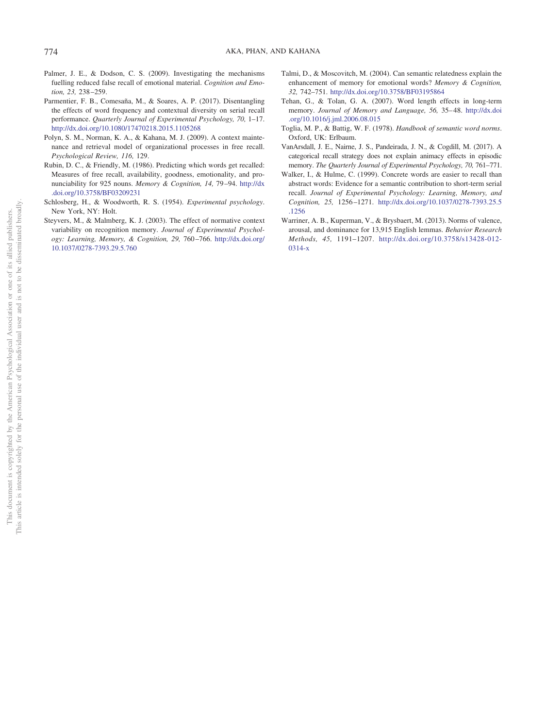- <span id="page-9-7"></span>Palmer, J. E., & Dodson, C. S. (2009). Investigating the mechanisms fuelling reduced false recall of emotional material. *Cognition and Emotion, 23,* 238–259.
- <span id="page-9-2"></span>Parmentier, F. B., Comesaña, M., & Soares, A. P. (2017). Disentangling the effects of word frequency and contextual diversity on serial recall performance. *Quarterly Journal of Experimental Psychology, 70,* 1–17. <http://dx.doi.org/10.1080/17470218.2015.1105268>
- <span id="page-9-9"></span>Polyn, S. M., Norman, K. A., & Kahana, M. J. (2009). A context maintenance and retrieval model of organizational processes in free recall. *Psychological Review, 116,* 129.
- <span id="page-9-5"></span>Rubin, D. C., & Friendly, M. (1986). Predicting which words get recalled: Measures of free recall, availability, goodness, emotionality, and pronunciability for 925 nouns. *Memory & Cognition, 14,* 79–94. [http://dx](http://dx.doi.org/10.3758/BF03209231) [.doi.org/10.3758/BF03209231](http://dx.doi.org/10.3758/BF03209231)
- <span id="page-9-11"></span>Schlosberg, H., & Woodworth, R. S. (1954). *Experimental psychology*. New York, NY: Holt.
- <span id="page-9-1"></span>Steyvers, M., & Malmberg, K. J. (2003). The effect of normative context variability on recognition memory. *Journal of Experimental Psychology: Learning, Memory, & Cognition, 29,* 760–766. [http://dx.doi.org/](http://dx.doi.org/10.1037/0278-7393.29.5.760) [10.1037/0278-7393.29.5.760](http://dx.doi.org/10.1037/0278-7393.29.5.760)
- <span id="page-9-4"></span>Talmi, D., & Moscovitch, M. (2004). Can semantic relatedness explain the enhancement of memory for emotional words? *Memory & Cognition, 32,* 742–751. <http://dx.doi.org/10.3758/BF03195864>
- <span id="page-9-3"></span>Tehan, G., & Tolan, G. A. (2007). Word length effects in long-term memory. *Journal of Memory and Language, 56,* 35–48. [http://dx.doi](http://dx.doi.org/10.1016/j.jml.2006.08.015) [.org/10.1016/j.jml.2006.08.015](http://dx.doi.org/10.1016/j.jml.2006.08.015)
- <span id="page-9-8"></span>Toglia, M. P., & Battig, W. F. (1978). *Handbook of semantic word norms*. Oxford, UK: Erlbaum.
- <span id="page-9-10"></span>VanArsdall, J. E., Nairne, J. S., Pandeirada, J. N., & Cogdill, M. (2017). A categorical recall strategy does not explain animacy effects in episodic memory. *The Quarterly Journal of Experimental Psychology, 70,* 761–771.
- <span id="page-9-0"></span>Walker, I., & Hulme, C. (1999). Concrete words are easier to recall than abstract words: Evidence for a semantic contribution to short-term serial recall. *Journal of Experimental Psychology: Learning, Memory, and Cognition, 25,* 1256–1271. [http://dx.doi.org/10.1037/0278-7393.25.5](http://dx.doi.org/10.1037/0278-7393.25.5.1256) [.1256](http://dx.doi.org/10.1037/0278-7393.25.5.1256)
- <span id="page-9-6"></span>Warriner, A. B., Kuperman, V., & Brysbaert, M. (2013). Norms of valence, arousal, and dominance for 13,915 English lemmas. *Behavior Research Methods, 45,* 1191–1207. [http://dx.doi.org/10.3758/s13428-012-](http://dx.doi.org/10.3758/s13428-012-0314-x) [0314-x](http://dx.doi.org/10.3758/s13428-012-0314-x)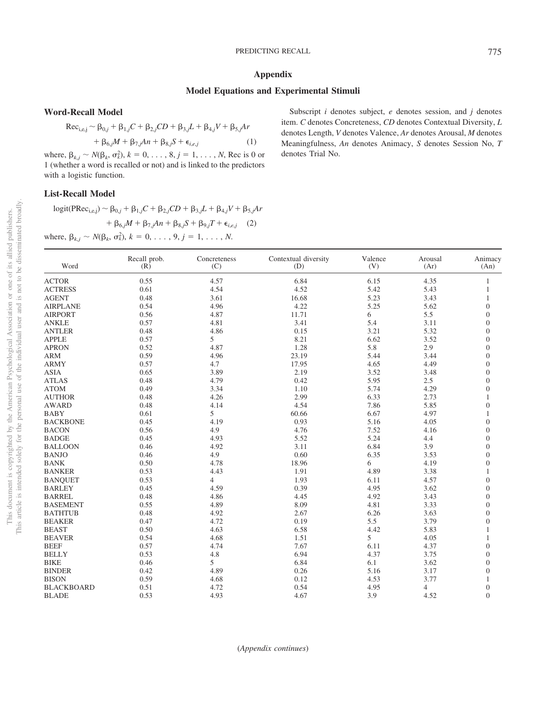# <span id="page-10-0"></span>**Appendix**

## **Model Equations and Experimental Stimuli**

**Word-Recall Model**

$$
\text{Rec}_{i,e,j} \sim \beta_{0,j} + \beta_{1,j}C + \beta_{2,j}CD + \beta_{3,j}L + \beta_{4,j}V + \beta_{5,j}Ar + \beta_{6,j}M + \beta_{7,j}An + \beta_{8,j}S + \epsilon_{i,e,j}
$$
 (1)

where,  $\beta_{k,j} \sim N(\beta_k, \sigma_k^2), k = 0, \ldots, 8, j = 1, \ldots, N$ , Rec is 0 or 1 (whether a word is recalled or not) and is linked to the predictors with a logistic function.

# **List-Recall Model**

 $\log$ it(PRec<sub>i,e,j</sub>) ~  $\beta_{0,j} + \beta_{1,j}C + \beta_{2,j}CD + \beta_{3,j}L + \beta_{4,j}V + \beta_{5,j}Ar$  $+ \beta_{6,j}M + \beta_{7,j}An + \beta_{8,j}S + \beta_{9,j}T + \epsilon_{i,e,j}$  (2) where,  $\beta_{k,j} \sim N(\beta_k, \sigma_k^2), k = 0, \ldots, 9, j = 1, \ldots, N$ .

Subscript *i* denotes subject, *e* denotes session, and *j* denotes item. *C* denotes Concreteness, *CD* denotes Contextual Diversity, *L* denotes Length, *V* denotes Valence, *Ar* denotes Arousal, *M* denotes Meaningfulness, *An* denotes Animacy, *S* denotes Session No, *T* denotes Trial No.

This document is copyrighted by the American Psychological Association or one of its allied publishers.

 $\rm \tilde{o}$  $\widetilde{\Xi}$ 

not to be disseminated broadly one of its allied publishers.

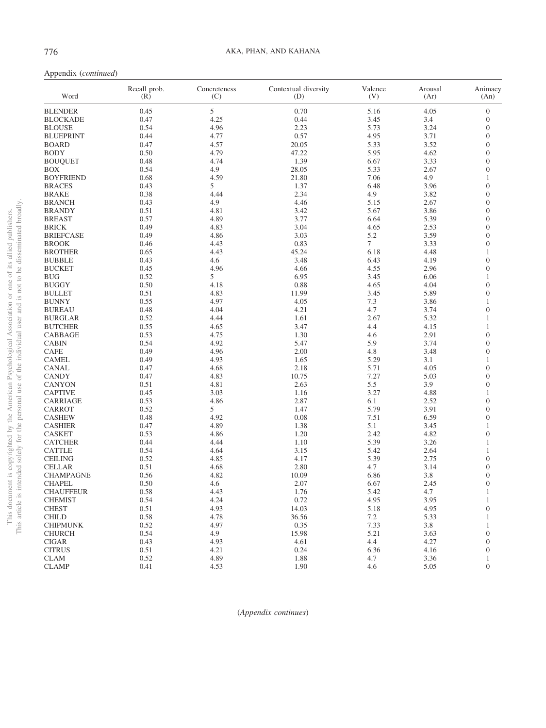| Word             | Recall prob.<br>(R) | Concreteness<br>(C) | Contextual diversity<br>(D) | Valence<br>(V) | Arousal<br>(Ar) | Animacy<br>(An)  |
|------------------|---------------------|---------------------|-----------------------------|----------------|-----------------|------------------|
| <b>BLENDER</b>   | 0.45                | 5                   | 0.70                        | 5.16           | 4.05            | $\boldsymbol{0}$ |
| <b>BLOCKADE</b>  | 0.47                | 4.25                | 0.44                        | 3.45           | 3.4             | $\boldsymbol{0}$ |
| <b>BLOUSE</b>    | 0.54                | 4.96                | 2.23                        | 5.73           | 3.24            | $\overline{0}$   |
| <b>BLUEPRINT</b> | 0.44                | 4.77                | 0.57                        | 4.95           | 3.71            | $\boldsymbol{0}$ |
| <b>BOARD</b>     | 0.47                | 4.57                | 20.05                       | 5.33           | 3.52            | $\overline{0}$   |
| <b>BODY</b>      | 0.50                | 4.79                | 47.22                       | 5.95           | 4.62            | $\boldsymbol{0}$ |
| <b>BOUQUET</b>   | 0.48                | 4.74                | 1.39                        | 6.67           | 3.33            | $\overline{0}$   |
| <b>BOX</b>       | 0.54                | 4.9                 | 28.05                       | 5.33           | 2.67            | $\boldsymbol{0}$ |
| <b>BOYFRIEND</b> | 0.68                | 4.59                | 21.80                       | 7.06           | 4.9             | 1                |
|                  | 0.43                | 5                   | 1.37                        | 6.48           | 3.96            | $\boldsymbol{0}$ |
| <b>BRACES</b>    |                     |                     |                             |                |                 |                  |
| <b>BRAKE</b>     | 0.38                | 4.44                | 2.34                        | 4.9            | 3.82            | $\overline{0}$   |
| <b>BRANCH</b>    | 0.43                | 4.9                 | 4.46                        | 5.15           | 2.67            | $\boldsymbol{0}$ |
| <b>BRANDY</b>    | 0.51                | 4.81                | 3.42                        | 5.67           | 3.86            | $\overline{0}$   |
| <b>BREAST</b>    | 0.57                | 4.89                | 3.77                        | 6.64           | 5.39            | $\boldsymbol{0}$ |
| <b>BRICK</b>     | 0.49                | 4.83                | 3.04                        | 4.65           | 2.53            | $\overline{0}$   |
| <b>BRIEFCASE</b> | 0.49                | 4.86                | 3.03                        | 5.2            | 3.59            | $\boldsymbol{0}$ |
| <b>BROOK</b>     | 0.46                | 4.43                | 0.83                        | $\tau$         | 3.33            | $\overline{0}$   |
| <b>BROTHER</b>   | 0.65                | 4.43                | 45.24                       | 6.18           | 4.48            | $\mathbf{1}$     |
| <b>BUBBLE</b>    | 0.43                | 4.6                 | 3.48                        | 6.43           | 4.19            | $\overline{0}$   |
| <b>BUCKET</b>    | 0.45                | 4.96                | 4.66                        | 4.55           | 2.96            | $\boldsymbol{0}$ |
| <b>BUG</b>       | 0.52                | 5                   | 6.95                        | 3.45           | 6.06            | 1                |
| <b>BUGGY</b>     | 0.50                | 4.18                | 0.88                        | 4.65           | 4.04            | $\boldsymbol{0}$ |
| <b>BULLET</b>    | 0.51                | 4.83                | 11.99                       | 3.45           | 5.89            | $\overline{0}$   |
| <b>BUNNY</b>     | 0.55                | 4.97                | 4.05                        | 7.3            | 3.86            | $\mathbf{1}$     |
| <b>BUREAU</b>    | 0.48                | 4.04                | 4.21                        | 4.7            | 3.74            | $\overline{0}$   |
| <b>BURGLAR</b>   | 0.52                | 4.44                | 1.61                        | 2.67           | 5.32            | 1                |
| <b>BUTCHER</b>   | 0.55                | 4.65                | 3.47                        | 4.4            | 4.15            | 1                |
| CABBAGE          | 0.53                | 4.75                | 1.30                        | 4.6            | 2.91            | $\boldsymbol{0}$ |
| <b>CABIN</b>     | 0.54                | 4.92                | 5.47                        | 5.9            | 3.74            | $\overline{0}$   |
| <b>CAFE</b>      | 0.49                | 4.96                | 2.00                        | 4.8            | 3.48            | $\boldsymbol{0}$ |
| <b>CAMEL</b>     | 0.49                | 4.93                | 1.65                        | 5.29           | 3.1             | 1                |
| <b>CANAL</b>     | 0.47                | 4.68                | 2.18                        | 5.71           | 4.05            | $\boldsymbol{0}$ |
| <b>CANDY</b>     | 0.47                | 4.83                | 10.75                       | 7.27           | 5.03            | $\overline{0}$   |
| <b>CANYON</b>    | 0.51                | 4.81                | 2.63                        | 5.5            | 3.9             | $\boldsymbol{0}$ |
| <b>CAPTIVE</b>   | 0.45                | 3.03                | 1.16                        | 3.27           | 4.88            | 1                |
| <b>CARRIAGE</b>  | 0.53                | 4.86                | 2.87                        | 6.1            | 2.52            | $\boldsymbol{0}$ |
| <b>CARROT</b>    | 0.52                | 5                   | 1.47                        | 5.79           | 3.91            | $\overline{0}$   |
| <b>CASHEW</b>    | 0.48                | 4.92                | 0.08                        | 7.51           | 6.59            | $\boldsymbol{0}$ |
| <b>CASHIER</b>   | 0.47                | 4.89                | 1.38                        | 5.1            | 3.45            | 1                |
| <b>CASKET</b>    | 0.53                | 4.86                | 1.20                        | 2.42           | 4.82            | $\boldsymbol{0}$ |
| <b>CATCHER</b>   | 0.44                | 4.44                | 1.10                        | 5.39           | 3.26            | 1                |
| <b>CATTLE</b>    | 0.54                | 4.64                | 3.15                        | 5.42           | 2.64            | 1                |
| <b>CEILING</b>   | 0.52                | 4.85                | 4.17                        | 5.39           | 2.75            | $\overline{0}$   |
| <b>CELLAR</b>    | 0.51                | 4.68                | 2.80                        | 4.7            | 3.14            | $\boldsymbol{0}$ |
| <b>CHAMPAGNE</b> | 0.56                | 4.82                | 10.09                       | 6.86           | 3.8             | $\overline{0}$   |
| <b>CHAPEL</b>    | 0.50                | 4.6                 | 2.07                        | 6.67           | 2.45            | $\boldsymbol{0}$ |
| <b>CHAUFFEUR</b> | 0.58                | 4.43                | 1.76                        | 5.42           | 4.7             |                  |
|                  |                     |                     |                             |                |                 |                  |
| <b>CHEMIST</b>   | 0.54                | 4.24                | 0.72                        | 4.95           | 3.95            | $\mathbf{1}$     |
| <b>CHEST</b>     | 0.51                | 4.93                | 14.03                       | 5.18           | 4.95            | $\boldsymbol{0}$ |
| <b>CHILD</b>     | 0.58                | 4.78                | 36.56                       | 7.2            | 5.33            | $\mathbf{1}$     |
| <b>CHIPMUNK</b>  | 0.52                | 4.97                | 0.35                        | 7.33           | 3.8             | 1                |
| <b>CHURCH</b>    | 0.54                | 4.9                 | 15.98                       | 5.21           | 3.63            | $\boldsymbol{0}$ |
| <b>CIGAR</b>     | 0.43                | 4.93                | 4.61                        | 4.4            | 4.27            | $\boldsymbol{0}$ |
| <b>CITRUS</b>    | 0.51                | 4.21                | 0.24                        | 6.36           | 4.16            | $\boldsymbol{0}$ |
| <b>CLAM</b>      | 0.52                | 4.89                | 1.88                        | 4.7            | 3.36            | $\mathbf{1}$     |
| <b>CLAMP</b>     | 0.41                | 4.53                | 1.90                        | 4.6            | 5.05            | $\boldsymbol{0}$ |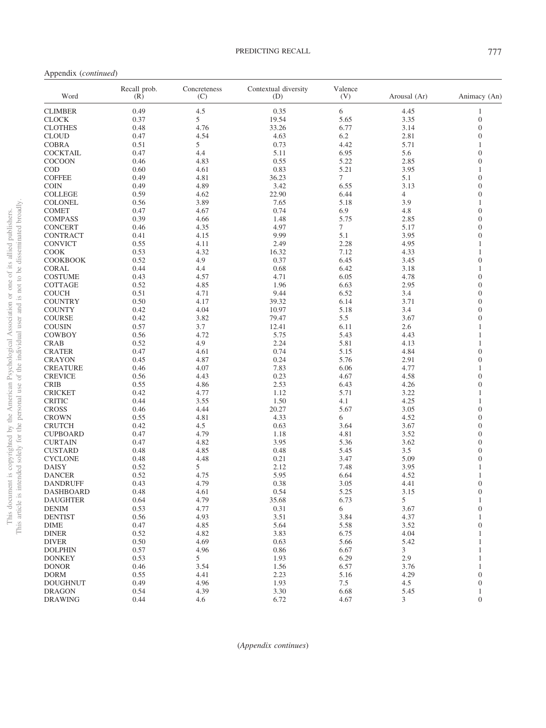Appendix (*continued*)

| Word            | Recall prob.<br>(R) | Concreteness<br>(C) | Contextual diversity<br>(D) | Valence<br>(V) | Arousal (Ar)   | Animacy (An)     |
|-----------------|---------------------|---------------------|-----------------------------|----------------|----------------|------------------|
| <b>CLIMBER</b>  | 0.49                | 4.5                 | 0.35                        | 6              | 4.45           | $\mathbf{1}$     |
| <b>CLOCK</b>    | 0.37                | 5                   | 19.54                       | 5.65           | 3.35           | $\boldsymbol{0}$ |
| <b>CLOTHES</b>  | 0.48                | 4.76                | 33.26                       | 6.77           | 3.14           | $\mathbf{0}$     |
| <b>CLOUD</b>    | 0.47                | 4.54                | 4.63                        | 6.2            | 2.81           | $\overline{0}$   |
| <b>COBRA</b>    | 0.51                | 5                   | 0.73                        | 4.42           | 5.71           | $\mathbf{1}$     |
| <b>COCKTAIL</b> | 0.47                | 4.4                 | 5.11                        | 6.95           | 5.6            | $\overline{0}$   |
| <b>COCOON</b>   | 0.46                | 4.83                | 0.55                        | 5.22           | 2.85           | $\overline{0}$   |
| <b>COD</b>      | 0.60                | 4.61                | 0.83                        | 5.21           | 3.95           | 1                |
| <b>COFFEE</b>   | 0.49                | 4.81                | 36.23                       | $\tau$         | 5.1            | $\overline{0}$   |
| <b>COIN</b>     | 0.49                | 4.89                | 3.42                        | 6.55           | 3.13           | $\overline{0}$   |
| <b>COLLEGE</b>  | 0.59                | 4.62                | 22.90                       | 6.44           | $\overline{4}$ | $\overline{0}$   |
| <b>COLONEL</b>  | 0.56                | 3.89                | 7.65                        | 5.18           | 3.9            | 1                |
| <b>COMET</b>    | 0.47                | 4.67                | 0.74                        | 6.9            | 4.8            | $\overline{0}$   |
| <b>COMPASS</b>  | 0.39                | 4.66                | 1.48                        | 5.75           | 2.85           | $\overline{0}$   |
| <b>CONCERT</b>  | 0.46                | 4.35                | 4.97                        | $\tau$         | 5.17           | $\overline{0}$   |
| CONTRACT        | 0.41                | 4.15                | 9.99                        | 5.1            | 3.95           | $\overline{0}$   |
| <b>CONVICT</b>  | 0.55                | 4.11                | 2.49                        | 2.28           | 4.95           | 1                |
| <b>COOK</b>     | 0.53                | 4.32                | 16.32                       | 7.12           | 4.33           | $\mathbf{1}$     |
| <b>COOKBOOK</b> | 0.52                | 4.9                 | 0.37                        | 6.45           | 3.45           | $\overline{0}$   |
| CORAL           | 0.44                | 4.4                 | 0.68                        | 6.42           | 3.18           | 1                |
| <b>COSTUME</b>  | 0.43                | 4.57                | 4.71                        | 6.05           | 4.78           | $\overline{0}$   |
|                 | 0.52                | 4.85                |                             |                | 2.95           | $\overline{0}$   |
| COTTAGE         |                     |                     | 1.96                        | 6.63           |                | $\overline{0}$   |
| <b>COUCH</b>    | 0.51                | 4.71                | 9.44                        | 6.52           | 3.4            |                  |
| <b>COUNTRY</b>  | 0.50                | 4.17                | 39.32                       | 6.14           | 3.71           | $\overline{0}$   |
| <b>COUNTY</b>   | 0.42                | 4.04                | 10.97                       | 5.18           | 3.4            | $\overline{0}$   |
| <b>COURSE</b>   | 0.42                | 3.82                | 79.47                       | 5.5            | 3.67           | $\mathbf{0}$     |
| <b>COUSIN</b>   | 0.57                | 3.7                 | 12.41                       | 6.11           | 2.6            | 1                |
| COWBOY          | 0.56                | 4.72                | 5.75                        | 5.43           | 4.43           | 1                |
| <b>CRAB</b>     | 0.52                | 4.9                 | 2.24                        | 5.81           | 4.13           | $\mathbf{1}$     |
| <b>CRATER</b>   | 0.47                | 4.61                | 0.74                        | 5.15           | 4.84           | $\overline{0}$   |
| <b>CRAYON</b>   | 0.45                | 4.87                | 0.24                        | 5.76           | 2.91           | $\overline{0}$   |
| <b>CREATURE</b> | 0.46                | 4.07                | 7.83                        | 6.06           | 4.77           | 1                |
| <b>CREVICE</b>  | 0.56                | 4.43                | 0.23                        | 4.67           | 4.58           | $\overline{0}$   |
| <b>CRIB</b>     | 0.55                | 4.86                | 2.53                        | 6.43           | 4.26           | $\mathbf{0}$     |
| <b>CRICKET</b>  | 0.42                | 4.77                | 1.12                        | 5.71           | 3.22           | 1                |
| <b>CRITIC</b>   | 0.44                | 3.55                | 1.50                        | 4.1            | 4.25           | $\mathbf{1}$     |
| <b>CROSS</b>    | 0.46                | 4.44                | 20.27                       | 5.67           | 3.05           | $\overline{0}$   |
| <b>CROWN</b>    | 0.55                | 4.81                | 4.33                        | 6              | 4.52           | $\overline{0}$   |
| <b>CRUTCH</b>   | 0.42                | 4.5                 | 0.63                        | 3.64           | 3.67           | $\overline{0}$   |
| <b>CUPBOARD</b> | 0.47                | 4.79                | 1.18                        | 4.81           | 3.52           | $\overline{0}$   |
| <b>CURTAIN</b>  | 0.47                | 4.82                | 3.95                        | 5.36           | 3.62           | $\overline{0}$   |
| <b>CUSTARD</b>  | 0.48                | 4.85                | 0.48                        | 5.45           | 3.5            | $\overline{0}$   |
| <b>CYCLONE</b>  | 0.48                | 4.48                | 0.21                        | 3.47           | 5.09           | $\overline{0}$   |
| <b>DAISY</b>    | 0.52                | 5                   | 2.12                        | 7.48           | 3.95           | 1                |
| <b>DANCER</b>   | 0.52                | 4.75                | 5.95                        | 6.64           | 4.52           | $\mathbf{1}$     |
| <b>DANDRUFF</b> | 0.43                | 4.79                | 0.38                        | 3.05           | 4.41           | $\mathbf{0}$     |
| DASHBOARD       | 0.48                | 4.61                | 0.54                        | 5.25           | 3.15           | $\mathbf{0}$     |
| <b>DAUGHTER</b> | 0.64                | 4.79                | 35.68                       | 6.73           | 5              | 1                |
| <b>DENIM</b>    | 0.53                | 4.77                | 0.31                        | 6              | 3.67           | $\boldsymbol{0}$ |
| <b>DENTIST</b>  | 0.56                | 4.93                | 3.51                        | 3.84           | 4.37           | 1                |
| <b>DIME</b>     | 0.47                | 4.85                | 5.64                        | 5.58           | 3.52           | $\boldsymbol{0}$ |
| <b>DINER</b>    | 0.52                | 4.82                | 3.83                        | 6.75           | 4.04           | 1                |
| <b>DIVER</b>    | 0.50                | 4.69                | 0.63                        | 5.66           | 5.42           | 1                |
| <b>DOLPHIN</b>  | 0.57                | 4.96                | 0.86                        | 6.67           | 3              | 1                |
| <b>DONKEY</b>   | 0.53                | 5                   | 1.93                        | 6.29           | 2.9            | 1                |
| <b>DONOR</b>    | 0.46                | 3.54                | 1.56                        | 6.57           | 3.76           | 1                |
| <b>DORM</b>     | 0.55                | 4.41                | 2.23                        | 5.16           | 4.29           | $\boldsymbol{0}$ |
| <b>DOUGHNUT</b> | 0.49                | 4.96                | 1.93                        | 7.5            | 4.5            | $\boldsymbol{0}$ |
| <b>DRAGON</b>   | 0.54                | 4.39                | 3.30                        | 6.68           | 5.45           | $\mathbf{1}$     |
| <b>DRAWING</b>  | 0.44                | 4.6                 | 6.72                        | 4.67           | $\mathfrak{Z}$ | $\mathbf{0}$     |
|                 |                     |                     |                             |                |                |                  |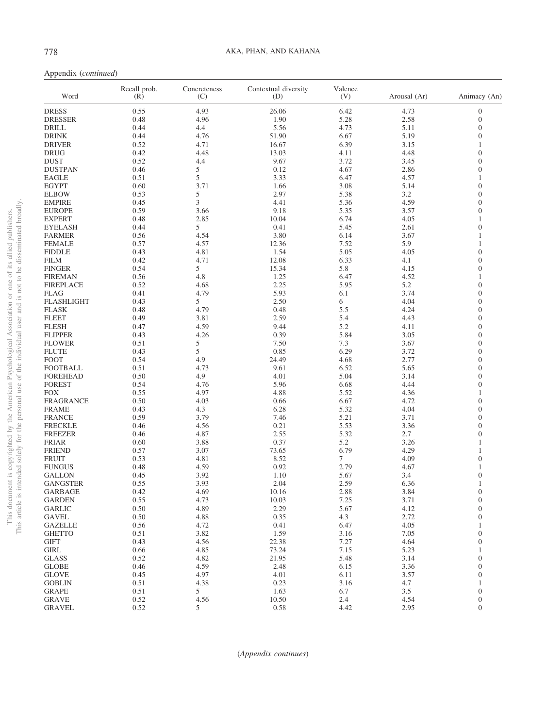| Word              | Recall prob.<br>(R) | Concreteness<br>(C) | Contextual diversity<br>(D) | Valence<br>(V) | Arousal (Ar) | Animacy (An)     |
|-------------------|---------------------|---------------------|-----------------------------|----------------|--------------|------------------|
| <b>DRESS</b>      | 0.55                | 4.93                | 26.06                       | 6.42           | 4.73         | $\boldsymbol{0}$ |
| <b>DRESSER</b>    | 0.48                | 4.96                | 1.90                        | 5.28           | 2.58         | $\mathbf{0}$     |
| <b>DRILL</b>      | 0.44                | 4.4                 | 5.56                        | 4.73           | 5.11         | $\overline{0}$   |
| <b>DRINK</b>      | 0.44                | 4.76                | 51.90                       | 6.67           | 5.19         | $\overline{0}$   |
| <b>DRIVER</b>     | 0.52                | 4.71                | 16.67                       | 6.39           | 3.15         | 1                |
| <b>DRUG</b>       | 0.42                | 4.48                | 13.03                       | 4.11           | 4.48         | $\overline{0}$   |
| <b>DUST</b>       | 0.52                | 4.4                 | 9.67                        | 3.72           | 3.45         | $\overline{0}$   |
| <b>DUSTPAN</b>    | 0.46                | 5                   | 0.12                        | 4.67           | 2.86         | $\overline{0}$   |
| <b>EAGLE</b>      | 0.51                | 5                   | 3.33                        | 6.47           | 4.57         | 1                |
| <b>EGYPT</b>      | 0.60                | 3.71                | 1.66                        | 3.08           | 5.14         | $\overline{0}$   |
| <b>ELBOW</b>      | 0.53                | 5                   | 2.97                        | 5.38           | 3.2          | $\overline{0}$   |
| <b>EMPIRE</b>     | 0.45                | 3                   | 4.41                        | 5.36           | 4.59         | $\overline{0}$   |
| <b>EUROPE</b>     | 0.59                | 3.66                | 9.18                        | 5.35           | 3.57         | $\Omega$         |
| <b>EXPERT</b>     | 0.48                | 2.85                | 10.04                       | 6.74           | 4.05         | 1                |
| <b>EYELASH</b>    | 0.44                | 5                   | 0.41                        | 5.45           | 2.61         | $\overline{0}$   |
| <b>FARMER</b>     | 0.56                | 4.54                | 3.80                        | 6.14           | 3.67         | 1                |
| <b>FEMALE</b>     | 0.57                | 4.57                | 12.36                       | 7.52           | 5.9          | $\mathbf{1}$     |
| <b>FIDDLE</b>     | 0.43                | 4.81                | 1.54                        | 5.05           | 4.05         | $\overline{0}$   |
| <b>FILM</b>       | 0.42                | 4.71                | 12.08                       | 6.33           | 4.1          | $\overline{0}$   |
| <b>FINGER</b>     | 0.54                | 5                   | 15.34                       | 5.8            | 4.15         | $\overline{0}$   |
| <b>FIREMAN</b>    | 0.56                | 4.8                 | 1.25                        | 6.47           | 4.52         | 1                |
| <b>FIREPLACE</b>  | 0.52                | 4.68                | 2.25                        | 5.95           | 5.2          | $\overline{0}$   |
| <b>FLAG</b>       | 0.41                | 4.79                | 5.93                        | 6.1            | 3.74         | $\overline{0}$   |
| <b>FLASHLIGHT</b> | 0.43                | 5                   | 2.50                        | 6              | 4.04         | $\overline{0}$   |
| <b>FLASK</b>      | 0.48                | 4.79                | 0.48                        | 5.5            | 4.24         | $\Omega$         |
| <b>FLEET</b>      | 0.49                | 3.81                | 2.59                        | 5.4            | 4.43         | $\overline{0}$   |
| <b>FLESH</b>      | 0.47                | 4.59                | 9.44                        | 5.2            | 4.11         | $\overline{0}$   |
| <b>FLIPPER</b>    | 0.43                | 4.26                | 0.39                        | 5.84           | 3.05         | $\overline{0}$   |
| <b>FLOWER</b>     | 0.51                | 5                   | 7.50                        | 7.3            | 3.67         | $\overline{0}$   |
| <b>FLUTE</b>      | 0.43                | 5                   | 0.85                        | 6.29           | 3.72         | $\overline{0}$   |
| <b>FOOT</b>       | 0.54                | 4.9                 | 24.49                       | 4.68           | 2.77         | $\overline{0}$   |
| <b>FOOTBALL</b>   | 0.51                | 4.73                | 9.61                        | 6.52           | 5.65         | $\overline{0}$   |
| <b>FOREHEAD</b>   | 0.50                | 4.9                 | 4.01                        | 5.04           | 3.14         | $\overline{0}$   |
| <b>FOREST</b>     | 0.54                | 4.76                | 5.96                        | 6.68           | 4.44         | $\overline{0}$   |
| <b>FOX</b>        | 0.55                | 4.97                | 4.88                        | 5.52           | 4.36         | 1                |
| <b>FRAGRANCE</b>  | 0.50                | 4.03                | 0.66                        | 6.67           | 4.72         | $\overline{0}$   |
| <b>FRAME</b>      | 0.43                | 4.3                 | 6.28                        | 5.32           | 4.04         | $\overline{0}$   |
| <b>FRANCE</b>     | 0.59                | 3.79                | 7.46                        | 5.21           | 3.71         | $\overline{0}$   |
| <b>FRECKLE</b>    | 0.46                | 4.56                | 0.21                        | 5.53           | 3.36         | $\overline{0}$   |
| <b>FREEZER</b>    | 0.46                | 4.87                | 2.55                        | 5.32           | 2.7          | $\overline{0}$   |
| <b>FRIAR</b>      | 0.60                | 3.88                | 0.37                        | 5.2            | 3.26         | 1                |
| <b>FRIEND</b>     | 0.57                | 3.07                | 73.65                       | 6.79           | 4.29         | 1                |
| <b>FRUIT</b>      | 0.53                | 4.81                | 8.52                        | 7              | 4.09         | $\overline{0}$   |
| <b>FUNGUS</b>     | 0.48                | 4.59                | 0.92                        | 2.79           | 4.67         | 1                |
| <b>GALLON</b>     | 0.45                | 3.92                | 1.10                        | 5.67           | 3.4          | $\overline{0}$   |
| <b>GANGSTER</b>   | 0.55                | 3.93                | 2.04                        | 2.59           | 6.36         | $\mathbf{1}$     |
| <b>GARBAGE</b>    | 0.42                | 4.69                | 10.16                       | 2.88           | 3.84         | $\Omega$         |
| <b>GARDEN</b>     | 0.55                | 4.73                | 10.03                       | 7.25           | 3.71         | $\boldsymbol{0}$ |
| <b>GARLIC</b>     | 0.50                | 4.89                | 2.29                        | 5.67           | 4.12         | $\mathbf{0}$     |
| <b>GAVEL</b>      | 0.50                | 4.88                | 0.35                        | 4.3            | 2.72         | $\mathbf{0}$     |
| <b>GAZELLE</b>    | 0.56                | 4.72                | 0.41                        | 6.47           | 4.05         | 1                |
| <b>GHETTO</b>     | 0.51                | 3.82                | 1.59                        | 3.16           | 7.05         | $\boldsymbol{0}$ |
| <b>GIFT</b>       | 0.43                | 4.56                | 22.38                       | 7.27           | 4.64         | $\overline{0}$   |
| GIRL              | 0.66                | 4.85                | 73.24                       | 7.15           | 5.23         | $\mathbf{1}$     |
| <b>GLASS</b>      | 0.52                | 4.82                | 21.95                       | 5.48           | 3.14         | $\boldsymbol{0}$ |
| <b>GLOBE</b>      | 0.46                | 4.59                | 2.48                        | 6.15           | 3.36         | $\boldsymbol{0}$ |
| <b>GLOVE</b>      | 0.45                | 4.97                | 4.01                        | 6.11           | 3.57         | $\overline{0}$   |
| <b>GOBLIN</b>     | 0.51                | 4.38                | 0.23                        | 3.16           | 4.7          | $\mathbf{1}$     |
| <b>GRAPE</b>      | 0.51                | 5                   | 1.63                        | 6.7            | $3.5$        | $\boldsymbol{0}$ |
| <b>GRAVE</b>      | 0.52                | 4.56                | 10.50                       | 2.4            | 4.54         | $\boldsymbol{0}$ |
| <b>GRAVEL</b>     | 0.52                | 5                   | 0.58                        | 4.42           | 2.95         | $\boldsymbol{0}$ |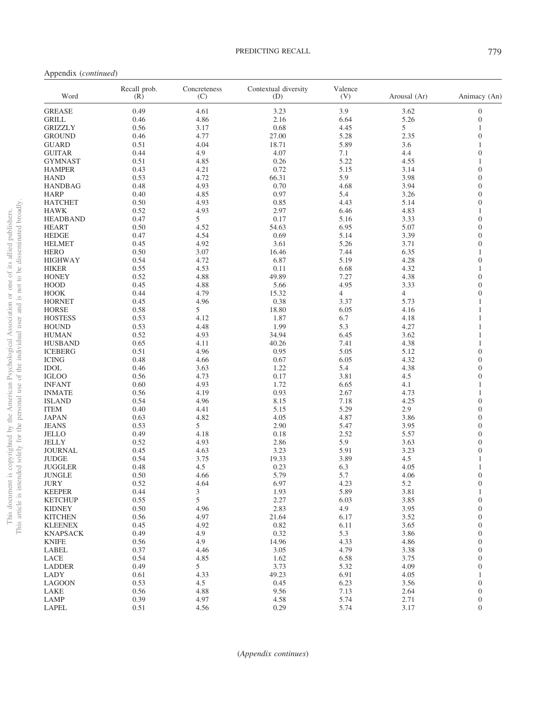Appendix (*continued*)

| Word            | Recall prob.<br>(R) | Concreteness<br>(C) | Contextual diversity<br>(D) | Valence<br>(V) | Arousal (Ar)   | Animacy (An)     |
|-----------------|---------------------|---------------------|-----------------------------|----------------|----------------|------------------|
| <b>GREASE</b>   | 0.49                | 4.61                | 3.23                        | 3.9            | 3.62           | $\mathbf{0}$     |
| <b>GRILL</b>    | 0.46                | 4.86                | 2.16                        | 6.64           | 5.26           | $\mathbf{0}$     |
| <b>GRIZZLY</b>  | 0.56                | 3.17                | 0.68                        | 4.45           | 5              | $\mathbf{1}$     |
| <b>GROUND</b>   | 0.46                | 4.77                | 27.00                       | 5.28           | 2.35           | $\overline{0}$   |
| <b>GUARD</b>    | 0.51                | 4.04                | 18.71                       | 5.89           | 3.6            | $\mathbf{1}$     |
| <b>GUITAR</b>   | 0.44                | 4.9                 | 4.07                        | 7.1            | 4.4            | $\overline{0}$   |
| GYMNAST         | 0.51                | 4.85                | 0.26                        | 5.22           | 4.55           | 1                |
| <b>HAMPER</b>   | 0.43                | 4.21                | 0.72                        | 5.15           | 3.14           | $\overline{0}$   |
| <b>HAND</b>     | 0.53                | 4.72                | 66.31                       | 5.9            | 3.98           | $\overline{0}$   |
| <b>HANDBAG</b>  | 0.48                | 4.93                | 0.70                        | 4.68           | 3.94           | $\overline{0}$   |
|                 | 0.40                |                     | 0.97                        | 5.4            | 3.26           | $\overline{0}$   |
| <b>HARP</b>     |                     | 4.85                |                             |                |                |                  |
| <b>HATCHET</b>  | 0.50                | 4.93                | 0.85                        | 4.43           | 5.14           | $\overline{0}$   |
| <b>HAWK</b>     | 0.52                | 4.93                | 2.97                        | 6.46           | 4.83           | $\mathbf{1}$     |
| <b>HEADBAND</b> | 0.47                | 5                   | 0.17                        | 5.16           | 3.33           | $\overline{0}$   |
| <b>HEART</b>    | 0.50                | 4.52                | 54.63                       | 6.95           | 5.07           | $\boldsymbol{0}$ |
| <b>HEDGE</b>    | 0.47                | 4.54                | 0.69                        | 5.14           | 3.39           | $\overline{0}$   |
| <b>HELMET</b>   | 0.45                | 4.92                | 3.61                        | 5.26           | 3.71           | $\overline{0}$   |
| <b>HERO</b>     | 0.50                | 3.07                | 16.46                       | 7.44           | 6.35           | 1                |
| <b>HIGHWAY</b>  | 0.54                | 4.72                | 6.87                        | 5.19           | 4.28           | $\boldsymbol{0}$ |
| <b>HIKER</b>    | 0.55                | 4.53                | 0.11                        | 6.68           | 4.32           | 1                |
| <b>HONEY</b>    | 0.52                | 4.88                | 49.89                       | 7.27           | 4.38           | $\boldsymbol{0}$ |
| <b>HOOD</b>     | 0.45                | 4.88                | 5.66                        | 4.95           | 3.33           | $\overline{0}$   |
| <b>HOOK</b>     | 0.44                | 4.79                | 15.32                       | $\overline{4}$ | $\overline{4}$ | $\boldsymbol{0}$ |
| <b>HORNET</b>   | 0.45                | 4.96                | 0.38                        | 3.37           | 5.73           | 1                |
| <b>HORSE</b>    | 0.58                | 5                   | 18.80                       | 6.05           | 4.16           | 1                |
| <b>HOSTESS</b>  | 0.53                | 4.12                | 1.87                        | 6.7            | 4.18           | 1                |
| <b>HOUND</b>    | 0.53                | 4.48                | 1.99                        | 5.3            | 4.27           | 1                |
| <b>HUMAN</b>    | 0.52                | 4.93                | 34.94                       | 6.45           | 3.62           | 1                |
|                 | 0.65                |                     | 40.26                       | 7.41           | 4.38           | $\mathbf{1}$     |
| <b>HUSBAND</b>  |                     | 4.11                |                             |                |                | $\overline{0}$   |
| <b>ICEBERG</b>  | 0.51                | 4.96                | 0.95                        | 5.05           | 5.12           |                  |
| <b>ICING</b>    | 0.48                | 4.66                | 0.67                        | 6.05           | 4.32           | $\overline{0}$   |
| <b>IDOL</b>     | 0.46                | 3.63                | 1.22                        | 5.4            | 4.38           | $\overline{0}$   |
| <b>IGLOO</b>    | 0.56                | 4.73                | 0.17                        | 3.81           | 4.5            | $\overline{0}$   |
| <b>INFANT</b>   | 0.60                | 4.93                | 1.72                        | 6.65           | 4.1            | 1                |
| <b>INMATE</b>   | 0.56                | 4.19                | 0.93                        | 2.67           | 4.73           | 1                |
| <b>ISLAND</b>   | 0.54                | 4.96                | 8.15                        | 7.18           | 4.25           | $\overline{0}$   |
| <b>ITEM</b>     | 0.40                | 4.41                | 5.15                        | 5.29           | 2.9            | $\overline{0}$   |
| <b>JAPAN</b>    | 0.63                | 4.82                | 4.05                        | 4.87           | 3.86           | $\overline{0}$   |
| <b>JEANS</b>    | 0.53                | 5                   | 2.90                        | 5.47           | 3.95           | $\overline{0}$   |
| <b>JELLO</b>    | 0.49                | 4.18                | 0.18                        | 2.52           | 5.57           | $\overline{0}$   |
| <b>JELLY</b>    | 0.52                | 4.93                | 2.86                        | 5.9            | 3.63           | $\boldsymbol{0}$ |
| <b>JOURNAL</b>  | 0.45                | 4.63                | 3.23                        | 5.91           | 3.23           | $\overline{0}$   |
| <b>JUDGE</b>    | 0.54                | 3.75                | 19.33                       | 3.89           | 4.5            | 1                |
| <b>JUGGLER</b>  | 0.48                | 4.5                 | 0.23                        | 6.3            | 4.05           | 1                |
| <b>JUNGLE</b>   | 0.50                | 4.66                | 5.79                        | 5.7            | 4.06           | $\boldsymbol{0}$ |
| JURY            | 0.52                | 4.64                | 6.97                        | 4.23           | 5.2            | $\overline{0}$   |
| <b>KEEPER</b>   | 0.44                | 3                   | 1.93                        | 5.89           | 3.81           | 1                |
| <b>KETCHUP</b>  | 0.55                | 5                   | 2.27                        | 6.03           | 3.85           | $\overline{0}$   |
| <b>KIDNEY</b>   | 0.50                | 4.96                | 2.83                        | 4.9            | 3.95           | $\mathbf{0}$     |
| <b>KITCHEN</b>  | 0.56                | 4.97                | 21.64                       | 6.17           | 3.52           | $\overline{0}$   |
|                 | 0.45                |                     | 0.82                        |                |                |                  |
| <b>KLEENEX</b>  |                     | 4.92                |                             | 6.11           | 3.65           | $\overline{0}$   |
| <b>KNAPSACK</b> | 0.49                | 4.9                 | 0.32                        | 5.3            | 3.86           | $\overline{0}$   |
| <b>KNIFE</b>    | 0.56                | 4.9                 | 14.96                       | 4.33           | 4.86           | $\overline{0}$   |
| LABEL           | 0.37                | 4.46                | 3.05                        | 4.79           | 3.38           | $\overline{0}$   |
| LACE            | 0.54                | 4.85                | 1.62                        | 6.58           | 3.75           | $\overline{0}$   |
| <b>LADDER</b>   | 0.49                | 5                   | 3.73                        | 5.32           | 4.09           | $\overline{0}$   |
| LADY            | 0.61                | 4.33                | 49.23                       | 6.91           | 4.05           | 1                |
| <b>LAGOON</b>   | 0.53                | 4.5                 | 0.45                        | 6.23           | 3.56           | $\overline{0}$   |
| LAKE            | 0.56                | 4.88                | 9.56                        | 7.13           | 2.64           | $\boldsymbol{0}$ |
| LAMP            | 0.39                | 4.97                | 4.58                        | 5.74           | 2.71           | $\boldsymbol{0}$ |
| LAPEL           | 0.51                | 4.56                | 0.29                        | 5.74           | 3.17           | $\mathbf{0}$     |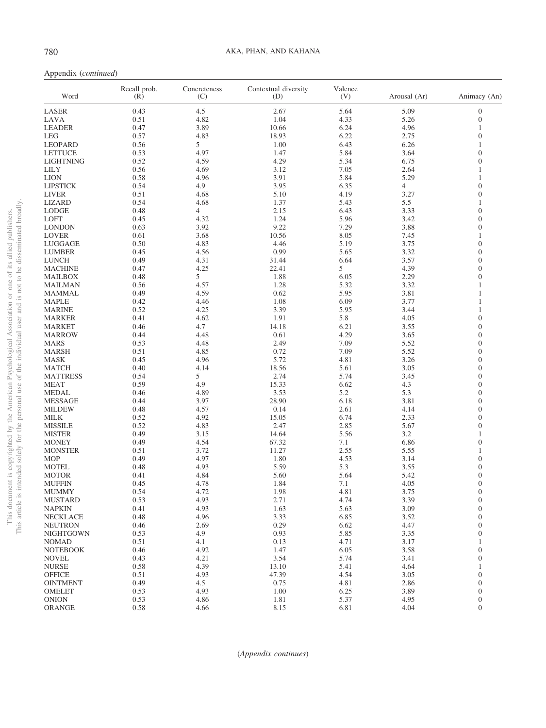| Word             | Recall prob.<br>(R) | Concreteness<br>(C) | Contextual diversity<br>(D) | Valence<br>(V) | Arousal (Ar)   | Animacy (An)                       |
|------------------|---------------------|---------------------|-----------------------------|----------------|----------------|------------------------------------|
| LASER            | 0.43                | 4.5                 | 2.67                        | 5.64           | 5.09           | $\boldsymbol{0}$                   |
| LAVA             | 0.51                | 4.82                | 1.04                        | 4.33           | 5.26           | $\boldsymbol{0}$                   |
| <b>LEADER</b>    | 0.47                | 3.89                | 10.66                       | 6.24           | 4.96           | 1                                  |
| <b>LEG</b>       | 0.57                | 4.83                | 18.93                       | 6.22           | 2.75           | $\boldsymbol{0}$                   |
| LEOPARD          | 0.56                | 5                   | 1.00                        | 6.43           | 6.26           | 1                                  |
| <b>LETTUCE</b>   | 0.53                | 4.97                | 1.47                        | 5.84           | 3.64           | $\boldsymbol{0}$                   |
| <b>LIGHTNING</b> | 0.52                | 4.59                | 4.29                        | 5.34           | 6.75           | $\overline{0}$                     |
| <b>LILY</b>      | 0.56                | 4.69                | 3.12                        | 7.05           | 2.64           | 1                                  |
| <b>LION</b>      | 0.58                | 4.96                | 3.91                        | 5.84           | 5.29           | 1                                  |
| <b>LIPSTICK</b>  | 0.54                | 4.9                 | 3.95                        | 6.35           | $\overline{4}$ | $\overline{0}$                     |
| <b>LIVER</b>     | 0.51                | 4.68                | 5.10                        | 4.19           | 3.27           | $\overline{0}$                     |
| <b>LIZARD</b>    | 0.54                | 4.68                | 1.37                        | 5.43           | 5.5            | $\mathbf{1}$                       |
| <b>LODGE</b>     | 0.48                | $\overline{4}$      | 2.15                        | 6.43           | 3.33           | $\overline{0}$                     |
| LOFT             | 0.45                | 4.32                | 1.24                        | 5.96           | 3.42           | $\overline{0}$                     |
| <b>LONDON</b>    | 0.63                | 3.92                | 9.22                        | 7.29           | 3.88           | $\overline{0}$                     |
| <b>LOVER</b>     | 0.61                | 3.68                | 10.56                       | 8.05           | 7.45           | 1                                  |
| LUGGAGE          | 0.50                | 4.83                | 4.46                        | 5.19           | 3.75           | $\overline{0}$                     |
| <b>LUMBER</b>    | 0.45                | 4.56                | 0.99                        | 5.65           | 3.32           | $\boldsymbol{0}$                   |
| <b>LUNCH</b>     | 0.49                | 4.31                | 31.44                       | 6.64           | 3.57           | $\overline{0}$                     |
| <b>MACHINE</b>   | 0.47                | 4.25                | 22.41                       | 5              | 4.39           | $\overline{0}$                     |
| MAILBOX          | 0.48                | 5                   | 1.88                        | 6.05           | 2.29           | $\Omega$                           |
| <b>MAILMAN</b>   | 0.56                | 4.57                | 1.28                        | 5.32           | 3.32           | 1                                  |
| <b>MAMMAL</b>    | 0.49                | 4.59                | 0.62                        | 5.95           | 3.81           | 1                                  |
| <b>MAPLE</b>     | 0.42                | 4.46                | 1.08                        | 6.09           | 3.77           | 1                                  |
| <b>MARINE</b>    | 0.52                | 4.25                | 3.39                        | 5.95           | 3.44           | 1                                  |
| <b>MARKER</b>    | 0.41                | 4.62                | 1.91                        | 5.8            | 4.05           | $\boldsymbol{0}$                   |
| MARKET           | 0.46                | 4.7                 | 14.18                       | 6.21           | 3.55           | $\overline{0}$                     |
| <b>MARROW</b>    | 0.44                | 4.48                | 0.61                        | 4.29           | 3.65           | $\overline{0}$                     |
| <b>MARS</b>      | 0.53                | 4.48                | 2.49                        | 7.09           | 5.52           | $\Omega$                           |
| <b>MARSH</b>     | 0.51                | 4.85                | 0.72                        | 7.09           | 5.52           | $\boldsymbol{0}$                   |
| <b>MASK</b>      | 0.45                | 4.96                | 5.72                        | 4.81           | 3.26           | $\Omega$                           |
| <b>MATCH</b>     | 0.40                | 4.14                | 18.56                       | 5.61           | 3.05           | $\overline{0}$                     |
| <b>MATTRESS</b>  | 0.54                | 5                   | 2.74                        | 5.74           | 3.45           | $\Omega$                           |
| <b>MEAT</b>      | 0.59                | 4.9                 | 15.33                       | 6.62           | 4.3            | $\overline{0}$                     |
| <b>MEDAL</b>     | 0.46                | 4.89                | 3.53                        | 5.2            | 5.3            | $\Omega$                           |
| <b>MESSAGE</b>   | 0.44                | 3.97                | 28.90                       | 6.18           | 3.81           | $\overline{0}$                     |
| <b>MILDEW</b>    | 0.48                | 4.57                | 0.14                        | 2.61           | 4.14           | $\Omega$                           |
| <b>MILK</b>      | 0.52                | 4.92                | 15.05                       | 6.74           | 2.33           | $\overline{0}$                     |
| <b>MISSILE</b>   | 0.52                | 4.83                | 2.47                        | 2.85           | 5.67           | $\theta$                           |
| <b>MISTER</b>    | 0.49                | 3.15                | 14.64                       | 5.56           | 3.2            | 1                                  |
| <b>MONEY</b>     | 0.49                | 4.54                | 67.32                       | 7.1            | 6.86           | $\overline{0}$                     |
| <b>MONSTER</b>   | 0.51                | 3.72                | 11.27                       | 2.55           | 5.55           | 1                                  |
| <b>MOP</b>       | 0.49                | 4.97                | 1.80                        | 4.53           | 3.14           | $\overline{0}$                     |
| <b>MOTEL</b>     | 0.48                | 4.93                | 5.59                        | 5.3            | 3.55           | $\overline{0}$                     |
| <b>MOTOR</b>     | 0.41                | 4.84                | 5.60                        | 5.64           | 5.42           | $\overline{0}$                     |
| <b>MUFFIN</b>    | 0.45                | 4.78                | 1.84                        | 7.1            | 4.05           | $\mathbf{0}$                       |
| <b>MUMMY</b>     | 0.54                | 4.72                | 1.98                        | 4.81           | 3.75           | $\Omega$                           |
| <b>MUSTARD</b>   | 0.53                | 4.93                | 2.71                        | 4.74           | 3.39           | $\mathbf{0}$                       |
| <b>NAPKIN</b>    | 0.41                | 4.93                | 1.63                        | 5.63           | 3.09           | $\boldsymbol{0}$                   |
| <b>NECKLACE</b>  | 0.48                | 4.96                | 3.33                        | 6.85           | 3.52           | $\mathbf{0}$                       |
| <b>NEUTRON</b>   | 0.46                | 2.69                | 0.29                        | 6.62           | 4.47           | $\overline{0}$                     |
| NIGHTGOWN        | 0.53                | 4.9                 | 0.93                        | 5.85           | 3.35           | $\mathbf{0}$                       |
| <b>NOMAD</b>     | 0.51                | 4.1                 | 0.13                        | 4.71           | 3.17           | 1                                  |
|                  |                     |                     | 1.47                        | 6.05           | 3.58           |                                    |
| <b>NOTEBOOK</b>  | 0.46                | 4.92                | 3.54                        | 5.74           |                | $\boldsymbol{0}$<br>$\overline{0}$ |
| <b>NOVEL</b>     | 0.43                | 4.21                |                             |                | 3.41           |                                    |
| ${\rm NURSE}$    | 0.58                | 4.39                | 13.10                       | 5.41           | 4.64           | 1                                  |
| <b>OFFICE</b>    | 0.51                | 4.93                | 47.39                       | 4.54           | 3.05           | $\overline{0}$                     |
| <b>OINTMENT</b>  | 0.49                | 4.5                 | 0.75                        | 4.81           | 2.86           | $\mathbf{0}$                       |
| <b>OMELET</b>    | 0.53                | 4.93                | 1.00                        | 6.25           | 3.89           | $\overline{0}$                     |
| <b>ONION</b>     | 0.53                | 4.86                | 1.81                        | 5.37           | 4.95           | $\overline{0}$                     |
| ORANGE           | 0.58                | 4.66                | 8.15                        | 6.81           | 4.04           | $\boldsymbol{0}$                   |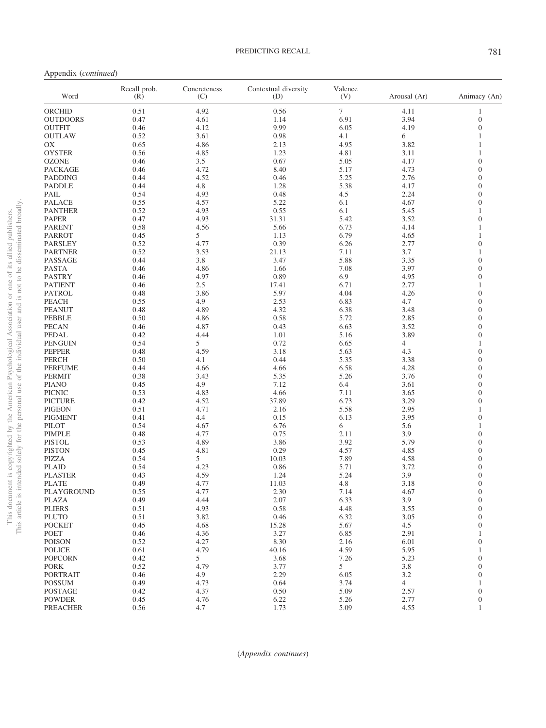Appendix (*continued*)

| Word            | Recall prob.<br>(R) | Concreteness<br>(C) | Contextual diversity<br>(D) | Valence<br>(V) | Arousal (Ar)   | Animacy (An)     |
|-----------------|---------------------|---------------------|-----------------------------|----------------|----------------|------------------|
| <b>ORCHID</b>   | 0.51                | 4.92                | 0.56                        | $\tau$         | 4.11           | 1                |
| <b>OUTDOORS</b> | 0.47                | 4.61                | 1.14                        | 6.91           | 3.94           | $\boldsymbol{0}$ |
| <b>OUTFIT</b>   | 0.46                | 4.12                | 9.99                        | 6.05           | 4.19           | $\mathbf{0}$     |
| <b>OUTLAW</b>   | 0.52                | 3.61                | 0.98                        | 4.1            | 6              | 1                |
| OX              | 0.65                | 4.86                | 2.13                        | 4.95           | 3.82           | 1                |
| <b>OYSTER</b>   | 0.56                | 4.85                | 1.23                        | 4.81           | 3.11           | 1                |
| <b>OZONE</b>    | 0.46                | 3.5                 | 0.67                        | 5.05           | 4.17           | $\overline{0}$   |
| <b>PACKAGE</b>  | 0.46                | 4.72                | 8.40                        | 5.17           | 4.73           | $\overline{0}$   |
| <b>PADDING</b>  | 0.44                | 4.52                | 0.46                        | 5.25           | 2.76           | $\mathbf{0}$     |
| PADDLE          | 0.44                | 4.8                 | 1.28                        | 5.38           | 4.17           | $\overline{0}$   |
|                 | 0.54                |                     |                             |                | 2.24           | $\overline{0}$   |
| PAIL            |                     | 4.93                | 0.48                        | 4.5            |                | $\overline{0}$   |
| <b>PALACE</b>   | 0.55                | 4.57                | 5.22                        | 6.1            | 4.67           |                  |
| <b>PANTHER</b>  | 0.52                | 4.93                | 0.55                        | 6.1            | 5.45           | $\mathbf{1}$     |
| <b>PAPER</b>    | 0.47                | 4.93                | 31.31                       | 5.42           | 3.52           | $\overline{0}$   |
| <b>PARENT</b>   | 0.58                | 4.56                | 5.66                        | 6.73           | 4.14           | 1                |
| <b>PARROT</b>   | 0.45                | 5                   | 1.13                        | 6.79           | 4.65           | 1                |
| <b>PARSLEY</b>  | 0.52                | 4.77                | 0.39                        | 6.26           | 2.77           | $\overline{0}$   |
| <b>PARTNER</b>  | 0.52                | 3.53                | 21.13                       | 7.11           | 3.7            | 1                |
| PASSAGE         | 0.44                | 3.8                 | 3.47                        | 5.88           | 3.35           | $\overline{0}$   |
| PASTA           | 0.46                | 4.86                | 1.66                        | 7.08           | 3.97           | $\overline{0}$   |
| <b>PASTRY</b>   | 0.46                | 4.97                | 0.89                        | 6.9            | 4.95           | $\overline{0}$   |
| <b>PATIENT</b>  | 0.46                | 2.5                 | 17.41                       | 6.71           | 2.77           | 1                |
| <b>PATROL</b>   | 0.48                | 3.86                | 5.97                        | 4.04           | 4.26           | $\overline{0}$   |
| <b>PEACH</b>    | 0.55                | 4.9                 | 2.53                        | 6.83           | 4.7            | $\overline{0}$   |
| <b>PEANUT</b>   | 0.48                | 4.89                | 4.32                        | 6.38           | 3.48           | $\mathbf{0}$     |
| <b>PEBBLE</b>   | 0.50                | 4.86                | 0.58                        | 5.72           | 2.85           | $\overline{0}$   |
| <b>PECAN</b>    | 0.46                | 4.87                | 0.43                        | 6.63           | 3.52           | $\overline{0}$   |
| PEDAL           | 0.42                | 4.44                | 1.01                        | 5.16           | 3.89           | $\overline{0}$   |
|                 | 0.54                | 5                   |                             | 6.65           | $\overline{4}$ | $\mathbf{1}$     |
| <b>PENGUIN</b>  |                     |                     | 0.72                        |                |                |                  |
| <b>PEPPER</b>   | 0.48                | 4.59                | 3.18                        | 5.63           | 4.3            | $\overline{0}$   |
| PERCH           | 0.50                | 4.1                 | 0.44                        | 5.35           | 3.38           | $\overline{0}$   |
| <b>PERFUME</b>  | 0.44                | 4.66                | 4.66                        | 6.58           | 4.28           | $\overline{0}$   |
| <b>PERMIT</b>   | 0.38                | 3.43                | 5.35                        | 5.26           | 3.76           | $\mathbf{0}$     |
| <b>PIANO</b>    | 0.45                | 4.9                 | 7.12                        | 6.4            | 3.61           | $\overline{0}$   |
| <b>PICNIC</b>   | 0.53                | 4.83                | 4.66                        | 7.11           | 3.65           | $\overline{0}$   |
| <b>PICTURE</b>  | 0.42                | 4.52                | 37.89                       | 6.73           | 3.29           | $\overline{0}$   |
| <b>PIGEON</b>   | 0.51                | 4.71                | 2.16                        | 5.58           | 2.95           | 1                |
| <b>PIGMENT</b>  | 0.41                | 4.4                 | 0.15                        | 6.13           | 3.95           | $\overline{0}$   |
| PILOT           | 0.54                | 4.67                | 6.76                        | 6              | 5.6            | 1                |
| <b>PIMPLE</b>   | 0.48                | 4.77                | 0.75                        | 2.11           | 3.9            | $\overline{0}$   |
| <b>PISTOL</b>   | 0.53                | 4.89                | 3.86                        | 3.92           | 5.79           | $\mathbf{0}$     |
| <b>PISTON</b>   | 0.45                | 4.81                | 0.29                        | 4.57           | 4.85           | $\overline{0}$   |
| PIZZA           | 0.54                | 5                   | 10.03                       | 7.89           | 4.58           | $\overline{0}$   |
| <b>PLAID</b>    | 0.54                | 4.23                | 0.86                        | 5.71           | 3.72           | $\overline{0}$   |
| <b>PLASTER</b>  | 0.43                | 4.59                | 1.24                        | 5.24           | 3.9            | $\mathbf{0}$     |
| <b>PLATE</b>    | 0.49                | 4.77                | 11.03                       | 4.8            | 3.18           | $\boldsymbol{0}$ |
| PLAYGROUND      | 0.55                | 4.77                | 2.30                        | 7.14           | 4.67           | $\overline{0}$   |
| PLAZA           | 0.49                | 4.44                | 2.07                        | 6.33           | 3.9            | $\overline{0}$   |
| <b>PLIERS</b>   | 0.51                | 4.93                | 0.58                        | 4.48           | 3.55           | $\mathbf{0}$     |
| <b>PLUTO</b>    | 0.51                | 3.82                | 0.46                        | 6.32           | 3.05           | $\overline{0}$   |
| <b>POCKET</b>   | 0.45                | 4.68                | 15.28                       | 5.67           | 4.5            | $\overline{0}$   |
|                 |                     |                     |                             |                |                |                  |
| <b>POET</b>     | 0.46                | 4.36                | 3.27                        | 6.85           | 2.91           | 1                |
| <b>POISON</b>   | 0.52                | 4.27                | 8.30                        | 2.16           | 6.01           | $\mathbf{0}$     |
| <b>POLICE</b>   | 0.61                | 4.79                | 40.16                       | 4.59           | 5.95           | 1                |
| <b>POPCORN</b>  | 0.42                | 5                   | 3.68                        | 7.26           | 5.23           | $\overline{0}$   |
| <b>PORK</b>     | 0.52                | 4.79                | 3.77                        | 5              | 3.8            | $\overline{0}$   |
| <b>PORTRAIT</b> | 0.46                | 4.9                 | 2.29                        | 6.05           | 3.2            | $\mathbf{0}$     |
| <b>POSSUM</b>   | 0.49                | 4.73                | 0.64                        | 3.74           | $\overline{4}$ | 1                |
| <b>POSTAGE</b>  | 0.42                | 4.37                | 0.50                        | 5.09           | 2.57           | $\mathbf{0}$     |
| <b>POWDER</b>   | 0.45                | 4.76                | 6.22                        | 5.26           | 2.77           | $\overline{0}$   |
| <b>PREACHER</b> | 0.56                | 4.7                 | 1.73                        | 5.09           | 4.55           | 1                |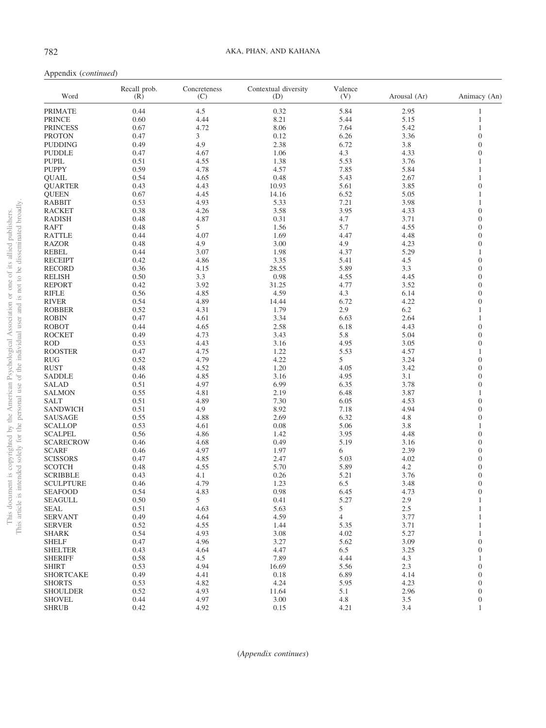| Word                         | Recall prob.<br>(R) | Concreteness<br>(C) | Contextual diversity<br>(D) | Valence<br>(V) | Arousal (Ar) | Animacy (An)                     |
|------------------------------|---------------------|---------------------|-----------------------------|----------------|--------------|----------------------------------|
| <b>PRIMATE</b>               | 0.44                | 4.5                 | 0.32                        | 5.84           | 2.95         | 1                                |
| <b>PRINCE</b>                | 0.60                | 4.44                | 8.21                        | 5.44           | 5.15         | $\mathbf{1}$                     |
| <b>PRINCESS</b>              | 0.67                | 4.72                | 8.06                        | 7.64           | 5.42         | 1                                |
| <b>PROTON</b>                | 0.47                | 3                   | 0.12                        | 6.26           | 3.36         | $\overline{0}$                   |
| <b>PUDDING</b>               | 0.49                | 4.9                 | 2.38                        | 6.72           | 3.8          | $\overline{0}$                   |
| <b>PUDDLE</b>                | 0.47                | 4.67                | 1.06                        | 4.3            | 4.33         | $\overline{0}$                   |
| <b>PUPIL</b>                 | 0.51                | 4.55                | 1.38                        | 5.53           | 3.76         | 1                                |
| <b>PUPPY</b>                 | 0.59                | 4.78                | 4.57                        | 7.85           | 5.84         | 1                                |
| QUAIL                        | 0.54                | 4.65                | 0.48                        | 5.43           | 2.67         | 1                                |
| <b>QUARTER</b>               | 0.43                | 4.43                | 10.93                       | 5.61           | 3.85         | $\boldsymbol{0}$                 |
| <b>QUEEN</b>                 | 0.67                | 4.45                | 14.16                       | 6.52           | 5.05         | 1                                |
| <b>RABBIT</b>                | 0.53                | 4.93                | 5.33                        | 7.21           | 3.98         | $\mathbf{1}$                     |
| <b>RACKET</b>                | 0.38                | 4.26                | 3.58                        | 3.95           | 4.33         | $\overline{0}$                   |
| <b>RADISH</b>                | 0.48                | 4.87                | 0.31                        | 4.7            | 3.71         | $\overline{0}$                   |
| <b>RAFT</b>                  | 0.48                | 5                   | 1.56                        | 5.7            | 4.55         | $\overline{0}$                   |
| <b>RATTLE</b>                | 0.44                | 4.07                | 1.69                        | 4.47           | 4.48         | $\overline{0}$                   |
| <b>RAZOR</b>                 | 0.48                | 4.9                 | 3.00                        | 4.9            | 4.23         | $\overline{0}$                   |
| <b>REBEL</b>                 | 0.44                | 3.07                | 1.98                        | 4.37           | 5.29         | 1                                |
| <b>RECEIPT</b>               | 0.42                | 4.86                | 3.35                        | 5.41           | 4.5          | $\overline{0}$                   |
| <b>RECORD</b>                | 0.36                | 4.15                | 28.55                       | 5.89           | 3.3          | $\overline{0}$                   |
| <b>RELISH</b>                | 0.50                | 3.3                 | 0.98                        | 4.55           | 4.45         | $\overline{0}$                   |
| <b>REPORT</b>                | 0.42                | 3.92                | 31.25                       | 4.77           | 3.52         | $\overline{0}$                   |
| <b>RIFLE</b>                 | 0.56                | 4.85                | 4.59                        | 4.3            | 6.14         | $\overline{0}$                   |
| <b>RIVER</b>                 | 0.54                | 4.89                | 14.44                       | 6.72           | 4.22         | $\overline{0}$                   |
| <b>ROBBER</b>                | 0.52                | 4.31                | 1.79                        | 2.9            | 6.2          | 1                                |
| <b>ROBIN</b>                 | 0.47                | 4.61                | 3.34                        | 6.63           | 2.64         | 1                                |
| <b>ROBOT</b>                 | 0.44                | 4.65                | 2.58                        | 6.18           | 4.43         | $\overline{0}$                   |
| <b>ROCKET</b>                | 0.49                | 4.73                | 3.43                        | 5.8            | 5.04         | $\overline{0}$<br>$\overline{0}$ |
| <b>ROD</b><br><b>ROOSTER</b> | 0.53<br>0.47        | 4.43                | 3.16<br>1.22                | 4.95           | 3.05<br>4.57 | 1                                |
| <b>RUG</b>                   | 0.52                | 4.75<br>4.79        | 4.22                        | 5.53<br>5      | 3.24         | $\overline{0}$                   |
| <b>RUST</b>                  | 0.48                | 4.52                | 1.20                        | 4.05           | 3.42         | $\overline{0}$                   |
| <b>SADDLE</b>                | 0.46                | 4.85                | 3.16                        | 4.95           | 3.1          | $\overline{0}$                   |
| <b>SALAD</b>                 | 0.51                | 4.97                | 6.99                        | 6.35           | 3.78         | $\overline{0}$                   |
| <b>SALMON</b>                | 0.55                | 4.81                | 2.19                        | 6.48           | 3.87         | 1                                |
| <b>SALT</b>                  | 0.51                | 4.89                | 7.30                        | 6.05           | 4.53         | $\overline{0}$                   |
| <b>SANDWICH</b>              | 0.51                | 4.9                 | 8.92                        | 7.18           | 4.94         | $\overline{0}$                   |
| <b>SAUSAGE</b>               | 0.55                | 4.88                | 2.69                        | 6.32           | 4.8          | $\boldsymbol{0}$                 |
| <b>SCALLOP</b>               | 0.53                | 4.61                | 0.08                        | 5.06           | 3.8          | 1                                |
| <b>SCALPEL</b>               | 0.56                | 4.86                | 1.42                        | 3.95           | 4.48         | $\overline{0}$                   |
| <b>SCARECROW</b>             | 0.46                | 4.68                | 0.49                        | 5.19           | 3.16         | $\overline{0}$                   |
| <b>SCARF</b>                 | 0.46                | 4.97                | 1.97                        | 6              | 2.39         | $\overline{0}$                   |
| <b>SCISSORS</b>              | 0.47                | 4.85                | 2.47                        | 5.03           | 4.02         | $\overline{0}$                   |
| SCOTCH                       | 0.48                | 4.55                | 5.70                        | 5.89           | 4.2          | $\overline{0}$                   |
| <b>SCRIBBLE</b>              | 0.43                | 4.1                 | 0.26                        | 5.21           | 3.76         | $\overline{0}$                   |
| <b>SCULPTURE</b>             | 0.46                | 4.79                | 1.23                        | 6.5            | 3.48         | $\boldsymbol{0}$                 |
| <b>SEAFOOD</b>               | 0.54                | 4.83                | 0.98                        | 6.45           | 4.73         | $\Omega$                         |
| SEAGULL                      | 0.50                | 5                   | 0.41                        | 5.27           | 2.9          | $\,1$                            |
| <b>SEAL</b>                  | 0.51                | 4.63                | 5.63                        | 5              | 2.5          | 1                                |
| <b>SERVANT</b>               | 0.49                | 4.64                | 4.59                        | $\overline{4}$ | 3.77         | $\mathbf{1}$                     |
| <b>SERVER</b>                | 0.52                | 4.55                | 1.44                        | 5.35           | 3.71         | 1                                |
| <b>SHARK</b>                 | 0.54                | 4.93                | 3.08                        | 4.02           | 5.27         | $\mathbf{1}$                     |
| <b>SHELF</b>                 | 0.47                | 4.96                | 3.27                        | 5.62           | 3.09         | $\boldsymbol{0}$                 |
| <b>SHELTER</b>               | 0.43                | 4.64                | 4.47                        | 6.5            | 3.25         | $\boldsymbol{0}$                 |
| <b>SHERIFF</b>               | 0.58                | 4.5                 | 7.89                        | 4.44           | 4.3          | 1                                |
| <b>SHIRT</b>                 | 0.53                | 4.94                | 16.69                       | 5.56           | 2.3          | $\boldsymbol{0}$                 |
| <b>SHORTCAKE</b>             | 0.49                | 4.41                | 0.18                        | 6.89           | 4.14         | $\overline{0}$                   |
| <b>SHORTS</b>                | 0.53                | 4.82                | 4.24                        | 5.95           | 4.23         | $\boldsymbol{0}$                 |
| <b>SHOULDER</b>              | 0.52                | 4.93                | 11.64                       | 5.1            | 2.96         | $\boldsymbol{0}$                 |
| <b>SHOVEL</b>                | 0.44                | 4.97                | $3.00\,$                    | 4.8            | $3.5$        | $\boldsymbol{0}$                 |
| <b>SHRUB</b>                 | 0.42                | 4.92                | 0.15                        | 4.21           | 3.4          | 1                                |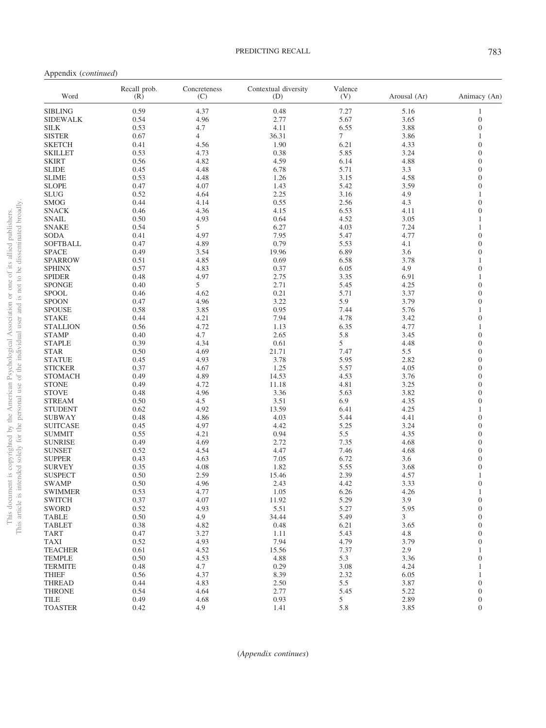Appendix (*continued*)

| Word            | Recall prob.<br>(R) | Concreteness<br>(C) | Contextual diversity<br>(D) | Valence<br>(V) | Arousal (Ar) | Animacy (An)     |
|-----------------|---------------------|---------------------|-----------------------------|----------------|--------------|------------------|
| <b>SIBLING</b>  | 0.59                | 4.37                | 0.48                        | 7.27           | 5.16         | 1                |
| <b>SIDEWALK</b> | 0.54                | 4.96                | 2.77                        | 5.67           | 3.65         | $\boldsymbol{0}$ |
| <b>SILK</b>     | 0.53                | 4.7                 | 4.11                        | 6.55           | 3.88         | $\mathbf{0}$     |
| <b>SISTER</b>   | 0.67                | $\overline{4}$      | 36.31                       | $\tau$         | 3.86         | 1                |
| <b>SKETCH</b>   | 0.41                | 4.56                | 1.90                        | 6.21           | 4.33         | $\boldsymbol{0}$ |
| <b>SKILLET</b>  | 0.53                | 4.73                | 0.38                        | 5.85           | 3.24         | $\Omega$         |
| <b>SKIRT</b>    | 0.56                | 4.82                | 4.59                        | 6.14           | 4.88         | $\overline{0}$   |
| <b>SLIDE</b>    | 0.45                | 4.48                | 6.78                        | 5.71           | 3.3          | $\Omega$         |
| <b>SLIME</b>    | 0.53                | 4.48                | 1.26                        | 3.15           | 4.58         | $\boldsymbol{0}$ |
| <b>SLOPE</b>    | 0.47                | 4.07                | 1.43                        | 5.42           | 3.59         | $\overline{0}$   |
| <b>SLUG</b>     | 0.52                | 4.64                | 2.25                        | 3.16           | 4.9          | $\mathbf{1}$     |
| <b>SMOG</b>     | 0.44                | 4.14                | 0.55                        | 2.56           | 4.3          | $\overline{0}$   |
|                 |                     |                     |                             |                |              |                  |
| <b>SNACK</b>    | 0.46                | 4.36                | 4.15                        | 6.53           | 4.11         | $\boldsymbol{0}$ |
| <b>SNAIL</b>    | 0.50                | 4.93                | 0.64                        | 4.52           | 3.05         | 1                |
| <b>SNAKE</b>    | 0.54                | 5                   | 6.27                        | 4.03           | 7.24         | $\mathbf{1}$     |
| <b>SODA</b>     | 0.41                | 4.97                | 7.95                        | 5.47           | 4.77         | $\overline{0}$   |
| SOFTBALL        | 0.47                | 4.89                | 0.79                        | 5.53           | 4.1          | $\boldsymbol{0}$ |
| <b>SPACE</b>    | 0.49                | 3.54                | 19.96                       | 6.89           | 3.6          | $\overline{0}$   |
| <b>SPARROW</b>  | 0.51                | 4.85                | 0.69                        | 6.58           | 3.78         | $\mathbf{1}$     |
| <b>SPHINX</b>   | 0.57                | 4.83                | 0.37                        | 6.05           | 4.9          | $\overline{0}$   |
| <b>SPIDER</b>   | 0.48                | 4.97                | 2.75                        | 3.35           | 6.91         | $\mathbf{1}$     |
| <b>SPONGE</b>   | 0.40                | 5                   | 2.71                        | 5.45           | 4.25         | $\overline{0}$   |
| <b>SPOOL</b>    | 0.46                | 4.62                | 0.21                        | 5.71           | 3.37         | $\overline{0}$   |
| <b>SPOON</b>    | 0.47                | 4.96                | 3.22                        | 5.9            | 3.79         | $\Omega$         |
| <b>SPOUSE</b>   | 0.58                | 3.85                | 0.95                        | 7.44           | 5.76         | $\mathbf{1}$     |
| <b>STAKE</b>    | 0.44                | 4.21                | 7.94                        | 4.78           | 3.42         | $\overline{0}$   |
| <b>STALLION</b> | 0.56                | 4.72                | 1.13                        | 6.35           | 4.77         | $\mathbf{1}$     |
| <b>STAMP</b>    | 0.40                | 4.7                 | 2.65                        | 5.8            | 3.45         | $\overline{0}$   |
| <b>STAPLE</b>   | 0.39                | 4.34                | 0.61                        | 5              | 4.48         | $\mathbf{0}$     |
|                 |                     |                     |                             |                |              | $\Omega$         |
| <b>STAR</b>     | 0.50                | 4.69                | 21.71                       | 7.47           | 5.5          |                  |
| <b>STATUE</b>   | 0.45                | 4.93                | 3.78                        | 5.95           | 2.82         | $\overline{0}$   |
| <b>STICKER</b>  | 0.37                | 4.67                | 1.25                        | 5.57           | 4.05         | $\Omega$         |
| <b>STOMACH</b>  | 0.49                | 4.89                | 14.53                       | 4.53           | 3.76         | $\mathbf{0}$     |
| <b>STONE</b>    | 0.49                | 4.72                | 11.18                       | 4.81           | 3.25         | $\Omega$         |
| <b>STOVE</b>    | 0.48                | 4.96                | 3.36                        | 5.63           | 3.82         | $\overline{0}$   |
| <b>STREAM</b>   | 0.50                | 4.5                 | 3.51                        | 6.9            | 4.35         | $\Omega$         |
| <b>STUDENT</b>  | 0.62                | 4.92                | 13.59                       | 6.41           | 4.25         | $\mathbf{1}$     |
| SUBWAY          | 0.48                | 4.86                | 4.03                        | 5.44           | 4.41         | $\overline{0}$   |
| <b>SUITCASE</b> | 0.45                | 4.97                | 4.42                        | 5.25           | 3.24         | $\overline{0}$   |
| <b>SUMMIT</b>   | 0.55                | 4.21                | 0.94                        | 5.5            | 4.35         | $\overline{0}$   |
| <b>SUNRISE</b>  | 0.49                | 4.69                | 2.72                        | 7.35           | 4.68         | $\mathbf{0}$     |
| <b>SUNSET</b>   | 0.52                | 4.54                | 4.47                        | 7.46           | 4.68         | $\Omega$         |
| <b>SUPPER</b>   | 0.43                | 4.63                | 7.05                        | 6.72           | 3.6          | $\overline{0}$   |
| <b>SURVEY</b>   | 0.35                | 4.08                | 1.82                        | 5.55           | 3.68         | $\overline{0}$   |
| <b>SUSPECT</b>  | 0.50                | 2.59                | 15.46                       | 2.39           | 4.57         | $\mathbf{1}$     |
| <b>SWAMP</b>    | 0.50                | 4.96                | 2.43                        | 4.42           | 3.33         | $\overline{0}$   |
| <b>SWIMMER</b>  | 0.53                | 4.77                | 1.05                        | 6.26           | 4.26         | $\mathbf{1}$     |
| <b>SWITCH</b>   | 0.37                | 4.07                | 11.92                       | 5.29           | 3.9          | $\mathbf{0}$     |
| <b>SWORD</b>    | 0.52                | 4.93                | 5.51                        | 5.27           | 5.95         | $\boldsymbol{0}$ |
| <b>TABLE</b>    | 0.50                | 4.9                 | 34.44                       | 5.49           | 3            | $\overline{0}$   |
|                 | 0.38                | 4.82                | 0.48                        |                | 3.65         | $\mathbf{0}$     |
| <b>TABLET</b>   |                     |                     |                             | 6.21           |              |                  |
| <b>TART</b>     | 0.47                | 3.27                | 1.11                        | 5.43           | 4.8          | $\overline{0}$   |
| <b>TAXI</b>     | 0.52                | 4.93                | 7.94                        | 4.79           | 3.79         | $\mathbf{0}$     |
| <b>TEACHER</b>  | 0.61                | 4.52                | 15.56                       | 7.37           | 2.9          | 1                |
| <b>TEMPLE</b>   | 0.50                | 4.53                | 4.88                        | 5.3            | 3.36         | $\boldsymbol{0}$ |
| <b>TERMITE</b>  | 0.48                | 4.7                 | 0.29                        | 3.08           | 4.24         | 1                |
| <b>THIEF</b>    | 0.56                | 4.37                | 8.39                        | 2.32           | 6.05         | 1                |
| <b>THREAD</b>   | 0.44                | 4.83                | 2.50                        | 5.5            | 3.87         | $\overline{0}$   |
| <b>THRONE</b>   | 0.54                | 4.64                | 2.77                        | 5.45           | 5.22         | $\mathbf{0}$     |
| <b>TILE</b>     | 0.49                | 4.68                | 0.93                        | 5              | 2.89         | $\mathbf{0}$     |
| <b>TOASTER</b>  | 0.42                | 4.9                 | 1.41                        | 5.8            | 3.85         | $\mathbf{0}$     |